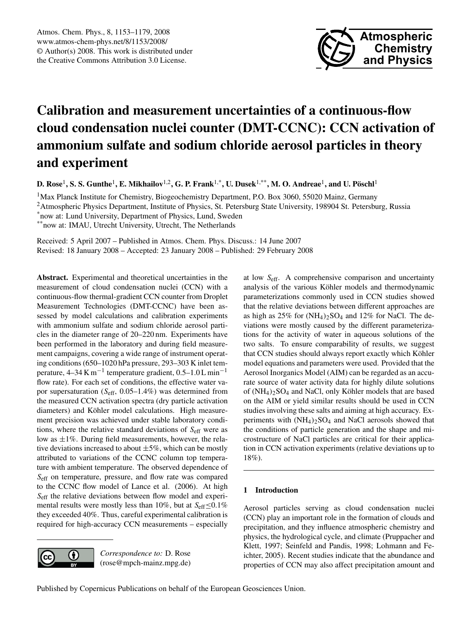

# **Calibration and measurement uncertainties of a continuous-flow cloud condensation nuclei counter (DMT-CCNC): CCN activation of ammonium sulfate and sodium chloride aerosol particles in theory and experiment**

**D. Rose**<sup>1</sup> **, S. S. Gunthe**<sup>1</sup> **, E. Mikhailov**1,2**, G. P. Frank**1,\***, U. Dusek**1,\*\***, M. O. Andreae**<sup>1</sup> **, and U. Poschl ¨** 1

<sup>1</sup>Max Planck Institute for Chemistry, Biogeochemistry Department, P.O. Box 3060, 55020 Mainz, Germany

<sup>2</sup>Atmospheric Physics Department, Institute of Physics, St. Petersburg State University, 198904 St. Petersburg, Russia

\*now at: Lund University, Department of Physics, Lund, Sweden

\*\*now at: IMAU, Utrecht University, Utrecht, The Netherlands

Received: 5 April 2007 – Published in Atmos. Chem. Phys. Discuss.: 14 June 2007 Revised: 18 January 2008 – Accepted: 23 January 2008 – Published: 29 February 2008

**Abstract.** Experimental and theoretical uncertainties in the measurement of cloud condensation nuclei (CCN) with a continuous-flow thermal-gradient CCN counter from Droplet Measurement Technologies (DMT-CCNC) have been assessed by model calculations and calibration experiments with ammonium sulfate and sodium chloride aerosol particles in the diameter range of 20–220 nm. Experiments have been performed in the laboratory and during field measurement campaigns, covering a wide range of instrument operating conditions (650–1020 hPa pressure, 293–303 K inlet temperature, 4–34 K m<sup>-1</sup> temperature gradient,  $0.5$ –1.0 L min<sup>-1</sup> flow rate). For each set of conditions, the effective water vapor supersaturation  $(S_{\text{eff}}, 0.05-1.4\%)$  was determined from the measured CCN activation spectra (dry particle activation diameters) and Köhler model calculations. High measurement precision was achieved under stable laboratory conditions, where the relative standard deviations of  $S_{\text{eff}}$  were as low as  $\pm 1\%$ . During field measurements, however, the relative deviations increased to about  $\pm 5\%$ , which can be mostly attributed to variations of the CCNC column top temperature with ambient temperature. The observed dependence of Seff on temperature, pressure, and flow rate was compared to the CCNC flow model of Lance et al. (2006). At high S<sub>eff</sub> the relative deviations between flow model and experimental results were mostly less than 10%, but at  $S_{\text{eff}}{\le}0.1\%$ they exceeded 40%. Thus, careful experimental calibration is required for high-accuracy CCN measurements – especially

G (cc

*Correspondence to:* D. Rose (rose@mpch-mainz.mpg.de) at low Seff. A comprehensive comparison and uncertainty analysis of the various Köhler models and thermodynamic parameterizations commonly used in CCN studies showed that the relative deviations between different approaches are as high as  $25\%$  for  $(NH_4)_2SO_4$  and  $12\%$  for NaCl. The deviations were mostly caused by the different parameterizations for the activity of water in aqueous solutions of the two salts. To ensure comparability of results, we suggest that CCN studies should always report exactly which Köhler model equations and parameters were used. Provided that the Aerosol Inorganics Model (AIM) can be regarded as an accurate source of water activity data for highly dilute solutions of  $(NH_4)_2SO_4$  and NaCl, only Köhler models that are based on the AIM or yield similar results should be used in CCN studies involving these salts and aiming at high accuracy. Experiments with  $(NH<sub>4</sub>)<sub>2</sub>SO<sub>4</sub>$  and NaCl aerosols showed that the conditions of particle generation and the shape and microstructure of NaCl particles are critical for their application in CCN activation experiments (relative deviations up to 18%).

# **1 Introduction**

Aerosol particles serving as cloud condensation nuclei (CCN) play an important role in the formation of clouds and precipitation, and they influence atmospheric chemistry and physics, the hydrological cycle, and climate (Pruppacher and Klett, 1997; Seinfeld and Pandis, 1998; Lohmann and Feichter, 2005). Recent studies indicate that the abundance and properties of CCN may also affect precipitation amount and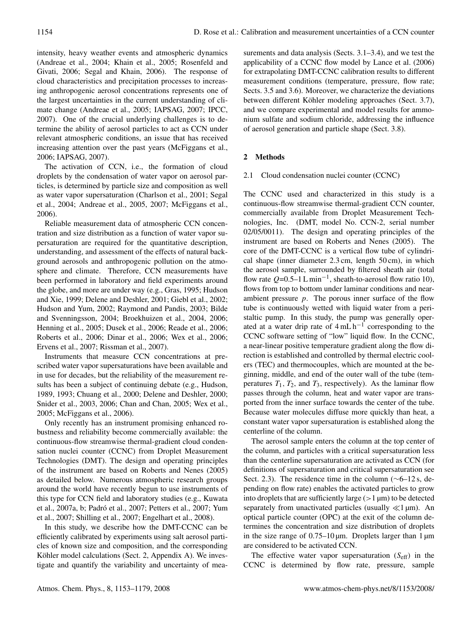intensity, heavy weather events and atmospheric dynamics (Andreae et al., 2004; Khain et al., 2005; Rosenfeld and Givati, 2006; Segal and Khain, 2006). The response of cloud characteristics and precipitation processes to increasing anthropogenic aerosol concentrations represents one of the largest uncertainties in the current understanding of climate change (Andreae et al., 2005; IAPSAG, 2007; IPCC, 2007). One of the crucial underlying challenges is to determine the ability of aerosol particles to act as CCN under relevant atmospheric conditions, an issue that has received increasing attention over the past years (McFiggans et al., 2006; IAPSAG, 2007).

The activation of CCN, i.e., the formation of cloud droplets by the condensation of water vapor on aerosol particles, is determined by particle size and composition as well as water vapor supersaturation (Charlson et al., 2001; Segal et al., 2004; Andreae et al., 2005, 2007; McFiggans et al., 2006).

Reliable measurement data of atmospheric CCN concentration and size distribution as a function of water vapor supersaturation are required for the quantitative description, understanding, and assessment of the effects of natural background aerosols and anthropogenic pollution on the atmosphere and climate. Therefore, CCN measurements have been performed in laboratory and field experiments around the globe, and more are under way (e.g., Gras, 1995; Hudson and Xie, 1999; Delene and Deshler, 2001; Giebl et al., 2002; Hudson and Yum, 2002; Raymond and Pandis, 2003; Bilde and Svenningsson, 2004; Broekhuizen et al., 2004, 2006; Henning et al., 2005; Dusek et al., 2006; Reade et al., 2006; Roberts et al., 2006; Dinar et al., 2006; Wex et al., 2006; Ervens et al., 2007; Rissman et al., 2007).

Instruments that measure CCN concentrations at prescribed water vapor supersaturations have been available and in use for decades, but the reliability of the measurement results has been a subject of continuing debate (e.g., Hudson, 1989, 1993; Chuang et al., 2000; Delene and Deshler, 2000; Snider et al., 2003, 2006; Chan and Chan, 2005; Wex et al., 2005; McFiggans et al., 2006).

Only recently has an instrument promising enhanced robustness and reliability become commercially available: the continuous-flow streamwise thermal-gradient cloud condensation nuclei counter (CCNC) from Droplet Measurement Technologies (DMT). The design and operating principles of the instrument are based on Roberts and Nenes (2005) as detailed below. Numerous atmospheric research groups around the world have recently begun to use instruments of this type for CCN field and laboratory studies (e.g., Kuwata et al., 2007a, b; Padró et al., 2007; Petters et al., 2007; Yum et al., 2007; Shilling et al., 2007; Engelhart et al., 2008).

In this study, we describe how the DMT-CCNC can be efficiently calibrated by experiments using salt aerosol particles of known size and composition, and the corresponding Köhler model calculations (Sect. 2, Appendix A). We investigate and quantify the variability and uncertainty of mea-

surements and data analysis (Sects. 3.1–3.4), and we test the applicability of a CCNC flow model by Lance et al. (2006) for extrapolating DMT-CCNC calibration results to different measurement conditions (temperature, pressure, flow rate; Sects. 3.5 and 3.6). Moreover, we characterize the deviations between different Köhler modeling approaches (Sect. 3.7), and we compare experimental and model results for ammonium sulfate and sodium chloride, addressing the influence of aerosol generation and particle shape (Sect. 3.8).

# **2 Methods**

# 2.1 Cloud condensation nuclei counter (CCNC)

The CCNC used and characterized in this study is a continuous-flow streamwise thermal-gradient CCN counter, commercially available from Droplet Measurement Technologies, Inc. (DMT, model No. CCN-2, serial number 02/05/0011). The design and operating principles of the instrument are based on Roberts and Nenes (2005). The core of the DMT-CCNC is a vertical flow tube of cylindrical shape (inner diameter 2.3 cm, length 50 cm), in which the aerosol sample, surrounded by filtered sheath air (total flow rate  $Q=0.5-1 L min^{-1}$ , sheath-to-aerosol flow ratio 10), flows from top to bottom under laminar conditions and nearambient pressure  $p$ . The porous inner surface of the flow tube is continuously wetted with liquid water from a peristaltic pump. In this study, the pump was generally operated at a water drip rate of  $4 \text{ mL h}^{-1}$  corresponding to the CCNC software setting of "low" liquid flow. In the CCNC, a near-linear positive temperature gradient along the flow direction is established and controlled by thermal electric coolers (TEC) and thermocouples, which are mounted at the beginning, middle, and end of the outer wall of the tube (temperatures  $T_1, T_2$ , and  $T_3$ , respectively). As the laminar flow passes through the column, heat and water vapor are transported from the inner surface towards the center of the tube. Because water molecules diffuse more quickly than heat, a constant water vapor supersaturation is established along the centerline of the column.

The aerosol sample enters the column at the top center of the column, and particles with a critical supersaturation less than the centerline supersaturation are activated as CCN (for definitions of supersaturation and critical supersaturation see Sect. 2.3). The residence time in the column (∼6–12 s, depending on flow rate) enables the activated particles to grow into droplets that are sufficiently large  $(>1 \mu m)$  to be detected separately from unactivated particles (usually  $\ll$ 1 µm). An optical particle counter (OPC) at the exit of the column determines the concentration and size distribution of droplets in the size range of  $0.75-10 \,\mu m$ . Droplets larger than 1  $\mu$ m are considered to be activated CCN.

The effective water vapor supersaturation  $(S_{\text{eff}})$  in the CCNC is determined by flow rate, pressure, sample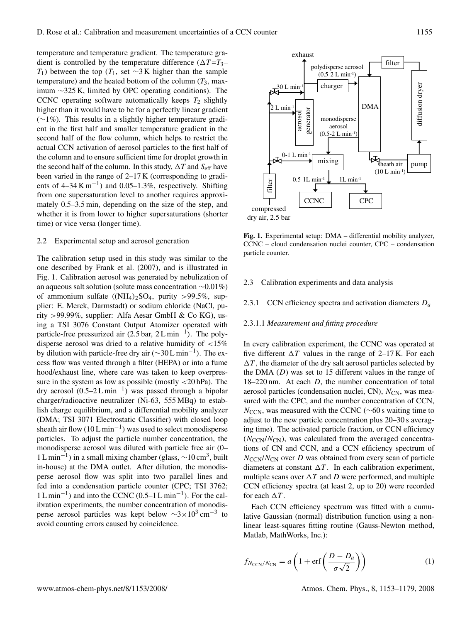temperature and temperature gradient. The temperature gradient is controlled by the temperature difference  $(\Delta T = T_3 -$ T<sub>1</sub>) between the top (T<sub>1</sub>, set ∼3 K higher than the sample temperature) and the heated bottom of the column  $(T_3)$ , maximum ∼325 K, limited by OPC operating conditions). The CCNC operating software automatically keeps  $T_2$  slightly higher than it would have to be for a perfectly linear gradient (∼1%). This results in a slightly higher temperature gradient in the first half and smaller temperature gradient in the second half of the flow column, which helps to restrict the actual CCN activation of aerosol particles to the first half of the column and to ensure sufficient time for droplet growth in the second half of the column. In this study,  $\Delta T$  and  $S_{\text{eff}}$  have been varied in the range of 2–17 K (corresponding to gradients of  $4-34 \text{ K m}^{-1}$ ) and  $0.05-1.3\%$ , respectively. Shifting from one supersaturation level to another requires approximately 0.5–3.5 min, depending on the size of the step, and whether it is from lower to higher supersaturations (shorter time) or vice versa (longer time).

#### 2.2 Experimental setup and aerosol generation

The calibration setup used in this study was similar to the one described by Frank et al. (2007), and is illustrated in Fig. 1. Calibration aerosol was generated by nebulization of an aqueous salt solution (solute mass concentration ∼0.01%) of ammonium sulfate  $((NH_4)_2SO_4,$  purity >99.5%, supplier: E. Merck, Darmstadt) or sodium chloride (NaCl, purity >99.99%, supplier: Alfa Aesar GmbH & Co KG), using a TSI 3076 Constant Output Atomizer operated with particle-free pressurized air  $(2.5 \text{ bar}, 2 \text{ L} \text{ min}^{-1})$ . The polydisperse aerosol was dried to a relative humidity of <15% by dilution with particle-free dry air ( $\sim$ 30 L min<sup>-1</sup>). The excess flow was vented through a filter (HEPA) or into a fume hood/exhaust line, where care was taken to keep overpressure in the system as low as possible (mostly  $\langle 20 \text{ hPa} \rangle$ ). The dry aerosol  $(0.5-2 L \text{ min}^{-1})$  was passed through a bipolar charger/radioactive neutralizer (Ni-63, 555 MBq) to establish charge equilibrium, and a differential mobility analyzer (DMA; TSI 3071 Electrostatic Classifier) with closed loop sheath air flow (10 L min<sup>-1</sup>) was used to select monodisperse particles. To adjust the particle number concentration, the monodisperse aerosol was diluted with particle free air (0–  $1 \text{ L min}^{-1}$ ) in a small mixing chamber (glass, ~10 cm<sup>3</sup>, built in-house) at the DMA outlet. After dilution, the monodisperse aerosol flow was split into two parallel lines and fed into a condensation particle counter (CPC; TSI 3762; 1 L min−<sup>1</sup> ) and into the CCNC (0.5–1 L min−<sup>1</sup> ). For the calibration experiments, the number concentration of monodisperse aerosol particles was kept below  $\sim 3 \times 10^3 \text{ cm}^{-3}$  to avoid counting errors caused by coincidence.



**Fig. 1.** Experimental setup: DMA – differential mobility analyzer, CCNC – cloud condensation nuclei counter, CPC – condensation particle counter.

#### 2.3 Calibration experiments and data analysis

2.3.1 CCN efficiency spectra and activation diameters  $D_a$ 

#### 2.3.1.1 *Measurement and fitting procedure*

In every calibration experiment, the CCNC was operated at five different  $\Delta T$  values in the range of 2–17 K. For each  $\Delta T$ , the diameter of the dry salt aerosol particles selected by the DMA  $(D)$  was set to 15 different values in the range of  $18-220$  nm. At each  $D$ , the number concentration of total aerosol particles (condensation nuclei, CN),  $N_{CN}$ , was measured with the CPC, and the number concentration of CCN,  $N_{\text{CCN}}$ , was measured with the CCNC ( $\sim$ 60 s waiting time to adjust to the new particle concentration plus 20–30 s averaging time). The activated particle fraction, or CCN efficiency  $(N_{\text{CCN}}/N_{\text{CN}})$ , was calculated from the averaged concentrations of CN and CCN, and a CCN efficiency spectrum of  $N_{\text{CCN}}/N_{\text{CN}}$  over D was obtained from every scan of particle diameters at constant  $\Delta T$ . In each calibration experiment, multiple scans over  $\Delta T$  and D were performed, and multiple CCN efficiency spectra (at least 2, up to 20) were recorded for each  $\Delta T$ .

Each CCN efficiency spectrum was fitted with a cumulative Gaussian (normal) distribution function using a nonlinear least-squares fitting routine (Gauss-Newton method, Matlab, MathWorks, Inc.):

$$
f_{N_{\text{CCN}}/N_{\text{CN}}} = a \left( 1 + \text{erf}\left(\frac{D - D_a}{\sigma \sqrt{2}}\right) \right) \tag{1}
$$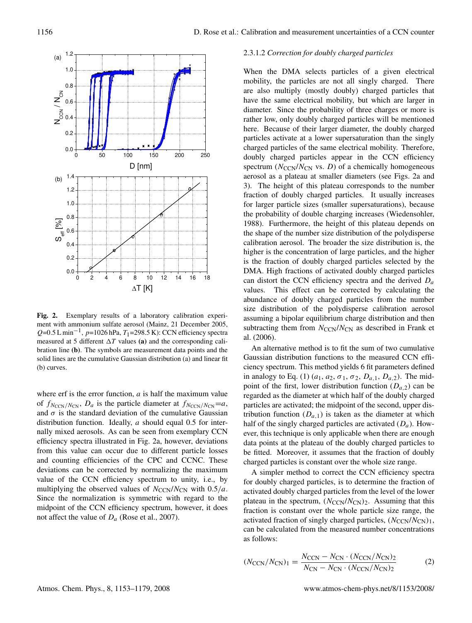

ment with ammonium sulfate aerosol (Mainz, 21 December 2005, **Fig. 2.** Exemplary results of a laboratory calibration experi- $Q=0.5 \text{ L min}^{-1}$ ,  $p=1026 \text{ hPa}$ ,  $T_1=298.5 \text{ K}$ : CCN efficiency spectra measured at 5 different  $\Delta T$  values (a) and the corresponding calibration line **(b)**. The symbols are measurement data points and the solid lines are the cumulative Gaussian distribution (a) and linear fit (b) curves.

where erf is the error function,  $a$  is half the maximum value of  $f_{N_{\text{CCN}}/N_{\text{CN}}}$ ,  $D_a$  is the particle diameter at  $f_{N_{\text{CCN}}/N_{\text{CN}}}=a$ , and  $\sigma$  is the standard deviation of the cumulative Gaussian distribution function. Ideally,  $a$  should equal 0.5 for internally mixed aerosols. As can be seen from exemplary CCN efficiency spectra illustrated in Fig. 2a, however, deviations from this value can occur due to different particle losses and counting efficiencies of the CPC and CCNC. These deviations can be corrected by normalizing the maximum value of the CCN efficiency spectrum to unity, i.e., by multiplying the observed values of  $N_{\text{CCN}}/N_{\text{CN}}$  with 0.5/a. Since the normalization is symmetric with regard to the midpoint of the CCN efficiency spectrum, however, it does not affect the value of  $D_a$  (Rose et al., 2007).

## 2.3.1.2 *Correction for doubly charged particles*

When the DMA selects particles of a given electrical mobility, the particles are not all singly charged. There are also multiply (mostly doubly) charged particles that have the same electrical mobility, but which are larger in diameter. Since the probability of three charges or more is rather low, only doubly charged particles will be mentioned here. Because of their larger diameter, the doubly charged particles activate at a lower supersaturation than the singly charged particles of the same electrical mobility. Therefore, doubly charged particles appear in the CCN efficiency spectrum ( $N_{\text{CCN}}/N_{\text{CN}}$  vs. *D*) of a chemically homogeneous aerosol as a plateau at smaller diameters (see Figs. 2a and 3). The height of this plateau corresponds to the number fraction of doubly charged particles. It usually increases for larger particle sizes (smaller supersaturations), because the probability of double charging increases (Wiedensohler, 1988). Furthermore, the height of this plateau depends on the shape of the number size distribution of the polydisperse calibration aerosol. The broader the size distribution is, the higher is the concentration of large particles, and the higher is the fraction of doubly charged particles selected by the DMA. High fractions of activated doubly charged particles can distort the CCN efficiency spectra and the derived  $D_a$ values. This effect can be corrected by calculating the abundance of doubly charged particles from the number size distribution of the polydisperse calibration aerosol assuming a bipolar equilibrium charge distribution and then subtracting them from  $N_{\text{CCN}}/N_{\text{CN}}$  as described in Frank et al. (2006).

An alternative method is to fit the sum of two cumulative Gaussian distribution functions to the measured CCN efficiency spectrum. This method yields 6 fit parameters defined in analogy to Eq. (1)  $(a_1, a_2, \sigma_1, \sigma_2, D_{a,1}, D_{a,2})$ . The midpoint of the first, lower distribution function  $(D_{a,2})$  can be regarded as the diameter at which half of the doubly charged particles are activated; the midpoint of the second, upper distribution function  $(D_{a,1})$  is taken as the diameter at which half of the singly charged particles are activated  $(D_a)$ . However, this technique is only applicable when there are enough data points at the plateau of the doubly charged particles to be fitted. Moreover, it assumes that the fraction of doubly charged particles is constant over the whole size range.

A simpler method to correct the CCN efficiency spectra for doubly charged particles, is to determine the fraction of activated doubly charged particles from the level of the lower plateau in the spectrum,  $(N_{\text{CCN}}/N_{\text{CN}})$ <sub>2</sub>. Assuming that this fraction is constant over the whole particle size range, the activated fraction of singly charged particles,  $(N_{\text{CCN}}/N_{\text{CN}})$ <sub>1</sub>, can be calculated from the measured number concentrations as follows:

$$
(N_{\text{CCN}}/N_{\text{CN}})_1 = \frac{N_{\text{CCN}} - N_{\text{CN}} \cdot (N_{\text{CCN}}/N_{\text{CN}})_2}{N_{\text{CN}} - N_{\text{CN}} \cdot (N_{\text{CCN}}/N_{\text{CN}})_2}
$$
(2)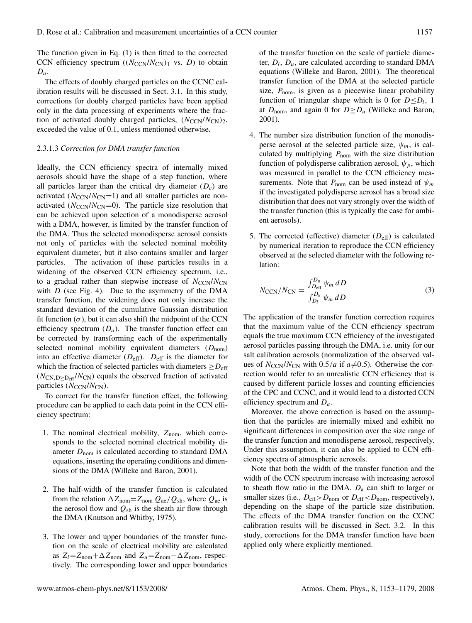The function given in Eq. (1) is then fitted to the corrected CCN efficiency spectrum  $((N_{CCN}/N_{CN})_1$  vs. D) to obtain  $D_a$ .

The effects of doubly charged particles on the CCNC calibration results will be discussed in Sect. 3.1. In this study, corrections for doubly charged particles have been applied only in the data processing of experiments where the fraction of activated doubly charged particles,  $(N_{\text{CCN}}/N_{\text{CN}})$ <sub>2</sub>, exceeded the value of 0.1, unless mentioned otherwise.

#### 2.3.1.3 *Correction for DMA transfer function*

Ideally, the CCN efficiency spectra of internally mixed aerosols should have the shape of a step function, where all particles larger than the critical dry diameter  $(D<sub>c</sub>)$  are activated  $(N_{\text{CCN}}/N_{\text{CN}}=1)$  and all smaller particles are nonactivated ( $N_{\text{CCN}}/N_{\text{CN}}=0$ ). The particle size resolution that can be achieved upon selection of a monodisperse aerosol with a DMA, however, is limited by the transfer function of the DMA. Thus the selected monodisperse aerosol consists not only of particles with the selected nominal mobility equivalent diameter, but it also contains smaller and larger particles. The activation of these particles results in a widening of the observed CCN efficiency spectrum, i.e., to a gradual rather than stepwise increase of  $N_{\text{CCN}}/N_{\text{CN}}$ with  $D$  (see Fig. 4). Due to the asymmetry of the DMA transfer function, the widening does not only increase the standard deviation of the cumulative Gaussian distribution fit function  $(\sigma)$ , but it can also shift the midpoint of the CCN efficiency spectrum  $(D_a)$ . The transfer function effect can be corrected by transforming each of the experimentally selected nominal mobility equivalent diameters  $(D_{nom})$ into an effective diameter  $(D_{\text{eff}})$ .  $D_{\text{eff}}$  is the diameter for which the fraction of selected particles with diameters  $\geq D_{\text{eff}}$  $(N_{\rm CN, D>D_{\rm eff}}/N_{\rm CN})$  equals the observed fraction of activated particles  $(N_{\text{CCN}}/N_{\text{CN}})$ .

To correct for the transfer function effect, the following procedure can be applied to each data point in the CCN efficiency spectrum:

- 1. The nominal electrical mobility,  $Z_{\text{nom}}$ , which corresponds to the selected nominal electrical mobility diameter  $D_{\text{nom}}$  is calculated according to standard DMA equations, inserting the operating conditions and dimensions of the DMA (Willeke and Baron, 2001).
- 2. The half-width of the transfer function is calculated from the relation  $\Delta Z_{\text{nom}} = Z_{\text{nom}} Q_{\text{ae}} / Q_{\text{sh}}$ , where  $Q_{\text{ae}}$  is the aerosol flow and  $Q_{sh}$  is the sheath air flow through the DMA (Knutson and Whitby, 1975).
- 3. The lower and upper boundaries of the transfer function on the scale of electrical mobility are calculated as  $Z_l = Z_{\text{nom}} + \Delta Z_{\text{nom}}$  and  $Z_u = Z_{\text{nom}} - \Delta Z_{\text{nom}}$ , respectively. The corresponding lower and upper boundaries

of the transfer function on the scale of particle diameter,  $D_l$ ,  $D_u$ , are calculated according to standard DMA equations (Willeke and Baron, 2001). The theoretical transfer function of the DMA at the selected particle size,  $P_{\text{nom}}$ , is given as a piecewise linear probability function of triangular shape which is 0 for  $D \le D_l$ , 1 at  $D_{\text{nom}}$ , and again 0 for  $D \ge D_u$  (Willeke and Baron, 2001).

- 4. The number size distribution function of the monodisperse aerosol at the selected particle size,  $\psi_m$ , is calculated by multiplying  $P_{\text{nom}}$  with the size distribution function of polydisperse calibration aerosol,  $\psi_p$ , which was measured in parallel to the CCN efficiency measurements. Note that  $P_{\text{nom}}$  can be used instead of  $\psi_m$ if the investigated polydisperse aerosol has a broad size distribution that does not vary strongly over the width of the transfer function (this is typically the case for ambient aerosols).
- 5. The corrected (effective) diameter  $(D_{\text{eff}})$  is calculated by numerical iteration to reproduce the CCN efficiency observed at the selected diameter with the following relation:

$$
N_{\rm CCN}/N_{\rm CN} = \frac{\int_{D_{\rm eff}}^{D_u} \psi_m \, dD}{\int_{D_l}^{D_u} \psi_m \, dD} \tag{3}
$$

The application of the transfer function correction requires that the maximum value of the CCN efficiency spectrum equals the true maximum CCN efficiency of the investigated aerosol particles passing through the DMA, i.e. unity for our salt calibration aerosols (normalization of the observed values of  $N_{\text{CCN}}/N_{\text{CN}}$  with 0.5/a if  $a\neq$ 0.5). Otherwise the correction would refer to an unrealistic CCN efficiency that is caused by different particle losses and counting efficiencies of the CPC and CCNC, and it would lead to a distorted CCN efficiency spectrum and  $D_a$ .

Moreover, the above correction is based on the assumption that the particles are internally mixed and exhibit no significant differences in composition over the size range of the transfer function and monodisperse aerosol, respectively. Under this assumption, it can also be applied to CCN efficiency spectra of atmospheric aerosols.

Note that both the width of the transfer function and the width of the CCN spectrum increase with increasing aerosol to sheath flow ratio in the DMA.  $D_a$  can shift to larger or smaller sizes (i.e.,  $D_{\text{eff}} > D_{\text{nom}}$  or  $D_{\text{eff}} < D_{\text{nom}}$ , respectively), depending on the shape of the particle size distribution. The effects of the DMA transfer function on the CCNC calibration results will be discussed in Sect. 3.2. In this study, corrections for the DMA transfer function have been applied only where explicitly mentioned.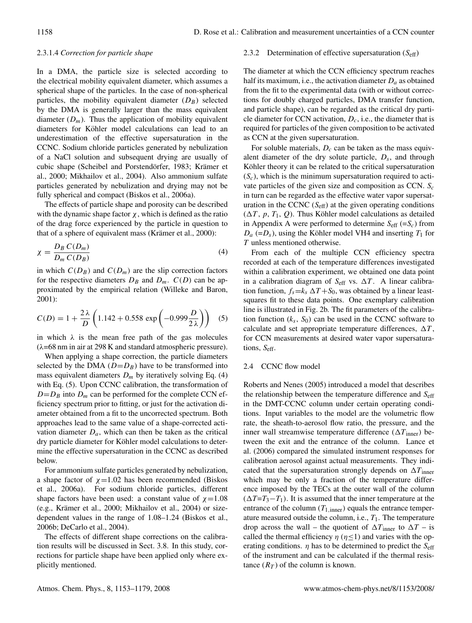# 2.3.1.4 *Correction for particle shape*

In a DMA, the particle size is selected according to the electrical mobility equivalent diameter, which assumes a spherical shape of the particles. In the case of non-spherical particles, the mobility equivalent diameter  $(D_B)$  selected by the DMA is generally larger than the mass equivalent diameter  $(D_m)$ . Thus the application of mobility equivalent diameters for Köhler model calculations can lead to an underestimation of the effective supersaturation in the CCNC. Sodium chloride particles generated by nebulization of a NaCl solution and subsequent drying are usually of cubic shape (Scheibel and Porstendörfer, 1983; Krämer et al., 2000; Mikhailov et al., 2004). Also ammonium sulfate particles generated by nebulization and drying may not be fully spherical and compact (Biskos et al., 2006a).

The effects of particle shape and porosity can be described with the dynamic shape factor  $\chi$ , which is defined as the ratio of the drag force experienced by the particle in question to that of a sphere of equivalent mass (Krämer et al., 2000):

$$
\chi = \frac{D_B C(D_m)}{D_m C(D_B)}\tag{4}
$$

in which  $C(D_B)$  and  $C(D_m)$  are the slip correction factors for the respective diameters  $D_B$  and  $D_m$ .  $C(D)$  can be approximated by the empirical relation (Willeke and Baron, 2001):

$$
C(D) = 1 + \frac{2\lambda}{D} \left( 1.142 + 0.558 \exp\left( -0.999 \frac{D}{2\lambda} \right) \right) \tag{5}
$$

in which  $\lambda$  is the mean free path of the gas molecules  $(\lambda$ =68 nm in air at 298 K and standard atmospheric pressure).

When applying a shape correction, the particle diameters selected by the DMA  $(D=D_B)$  have to be transformed into mass equivalent diameters  $D_m$  by iteratively solving Eq. (4) with Eq. (5). Upon CCNC calibration, the transformation of  $D=D_B$  into  $D_m$  can be performed for the complete CCN efficiency spectrum prior to fitting, or just for the activation diameter obtained from a fit to the uncorrected spectrum. Both approaches lead to the same value of a shape-corrected activation diameter  $D_a$ , which can then be taken as the critical dry particle diameter for Köhler model calculations to determine the effective supersaturation in the CCNC as described below.

For ammonium sulfate particles generated by nebulization, a shape factor of  $\chi$ =1.02 has been recommended (Biskos et al., 2006a). For sodium chloride particles, different shape factors have been used: a constant value of  $\chi$ =1.08 (e.g., Krämer et al., 2000; Mikhailov et al., 2004) or sizedependent values in the range of 1.08–1.24 (Biskos et al., 2006b; DeCarlo et al., 2004).

The effects of different shape corrections on the calibration results will be discussed in Sect. 3.8. In this study, corrections for particle shape have been applied only where explicitly mentioned.

#### 2.3.2 Determination of effective supersaturation  $(S_{\text{eff}})$

The diameter at which the CCN efficiency spectrum reaches half its maximum, i.e., the activation diameter  $D_a$  as obtained from the fit to the experimental data (with or without corrections for doubly charged particles, DMA transfer function, and particle shape), can be regarded as the critical dry particle diameter for CCN activation,  $D_c$ , i.e., the diameter that is required for particles of the given composition to be activated as CCN at the given supersaturation.

For soluble materials,  $D_c$  can be taken as the mass equivalent diameter of the dry solute particle,  $D_s$ , and through Köhler theory it can be related to the critical supersaturation  $(S<sub>c</sub>)$ , which is the minimum supersaturation required to activate particles of the given size and composition as CCN.  $S_c$ in turn can be regarded as the effective water vapor supersaturation in the CCNC  $(S<sub>eff</sub>)$  at the given operating conditions  $(\Delta T, p, T_1, Q)$ . Thus Köhler model calculations as detailed in Appendix A were performed to determine  $S_{\text{eff}}$  (= $S_c$ ) from  $D_a$  (= $D_s$ ), using the Köhler model VH4 and inserting  $T_1$  for T unless mentioned otherwise.

From each of the multiple CCN efficiency spectra recorded at each of the temperature differences investigated within a calibration experiment, we obtained one data point in a calibration diagram of  $S_{\text{eff}}$  vs.  $\Delta T$ . A linear calibration function,  $f_s = k_s \Delta T + S_0$ , was obtained by a linear leastsquares fit to these data points. One exemplary calibration line is illustrated in Fig. 2b. The fit parameters of the calibration function  $(k<sub>s</sub>, S<sub>0</sub>)$  can be used in the CCNC software to calculate and set appropriate temperature differences,  $\Delta T$ , for CCN measurements at desired water vapor supersaturations,  $S_{\text{eff}}$ .

# 2.4 CCNC flow model

Roberts and Nenes (2005) introduced a model that describes the relationship between the temperature difference and  $S_{\text{eff}}$ in the DMT-CCNC column under certain operating conditions. Input variables to the model are the volumetric flow rate, the sheath-to-aerosol flow ratio, the pressure, and the inner wall streamwise temperature difference  $(\Delta T_{inner})$  between the exit and the entrance of the column. Lance et al. (2006) compared the simulated instrument responses for calibration aerosol against actual measurements. They indicated that the supersaturation strongly depends on  $\Delta T_{\text{inner}}$ which may be only a fraction of the temperature difference imposed by the TECs at the outer wall of the column  $(\Delta T=T_3-T_1)$ . It is assumed that the inner temperature at the entrance of the column  $(T_{1,\text{inner}})$  equals the entrance temperature measured outside the column, i.e.,  $T_1$ . The temperature drop across the wall – the quotient of  $\Delta T_{\text{inner}}$  to  $\Delta T$  – is called the thermal efficiency  $\eta$  ( $\eta \le 1$ ) and varies with the operating conditions.  $\eta$  has to be determined to predict the  $S_{\text{eff}}$ of the instrument and can be calculated if the thermal resistance  $(R_T)$  of the column is known.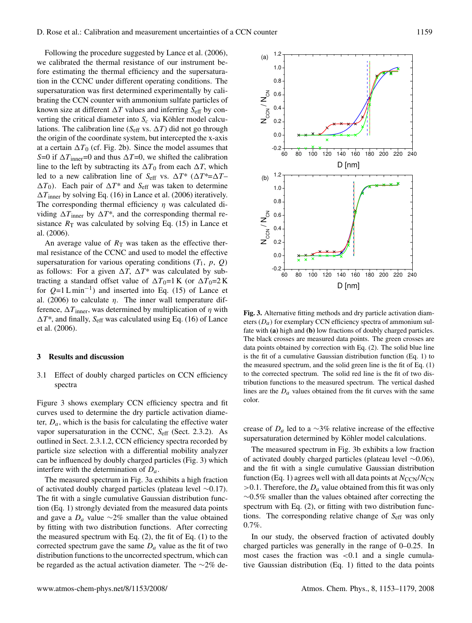Following the procedure suggested by Lance et al. (2006), we calibrated the thermal resistance of our instrument before estimating the thermal efficiency and the supersaturation in the CCNC under different operating conditions. The supersaturation was first determined experimentally by calibrating the CCN counter with ammonium sulfate particles of known size at different  $\Delta T$  values and inferring  $S_{\text{eff}}$  by converting the critical diameter into  $S_c$  via Köhler model calculations. The calibration line ( $S_{\text{eff}}$  vs.  $\Delta T$ ) did not go through the origin of the coordinate system, but intercepted the x-axis at a certain  $\Delta T_0$  (cf. Fig. 2b). Since the model assumes that S=0 if  $\Delta T$ <sub>inner</sub>=0 and thus  $\Delta T$ =0, we shifted the calibration line to the left by subtracting its  $\Delta T_0$  from each  $\Delta T$ , which led to a new calibration line of  $S_{\text{eff}}$  vs.  $\Delta T^*$  ( $\Delta T^* = \Delta T$  $\Delta T_0$ ). Each pair of  $\Delta T^*$  and S<sub>eff</sub> was taken to determine  $\Delta T$ <sub>inner</sub> by solving Eq. (16) in Lance et al. (2006) iteratively. The corresponding thermal efficiency  $\eta$  was calculated dividing  $\Delta T_{\text{inner}}$  by  $\Delta T^*$ , and the corresponding thermal resistance  $R_T$  was calculated by solving Eq. (15) in Lance et al. (2006).

An average value of  $R<sub>T</sub>$  was taken as the effective thermal resistance of the CCNC and used to model the effective supersaturation for various operating conditions  $(T_1, p, Q)$ as follows: For a given  $\Delta T$ ,  $\Delta T^*$  was calculated by subtracting a standard offset value of  $\Delta T_0=1$  K (or  $\Delta T_0=2$  K for  $Q=1$  L min<sup>-1</sup>) and inserted into Eq. (15) of Lance et al. (2006) to calculate  $\eta$ . The inner wall temperature difference,  $\Delta T_{inner}$ , was determined by multiplication of  $\eta$  with  $\Delta T^*$ , and finally, S<sub>eff</sub> was calculated using Eq. (16) of Lance et al. (2006).

#### **3 Results and discussion**

# 3.1 Effect of doubly charged particles on CCN efficiency spectra

Figure 3 shows exemplary CCN efficiency spectra and fit curves used to determine the dry particle activation diameter,  $D_a$ , which is the basis for calculating the effective water vapor supersaturation in the CCNC, Seff (Sect. 2.3.2). As outlined in Sect. 2.3.1.2, CCN efficiency spectra recorded by particle size selection with a differential mobility analyzer can be influenced by doubly charged particles (Fig. 3) which interfere with the determination of  $D_a$ .

The measured spectrum in Fig. 3a exhibits a high fraction of activated doubly charged particles (plateau level ∼0.17). The fit with a single cumulative Gaussian distribution function (Eq. 1) strongly deviated from the measured data points and gave a  $D_a$  value ∼2% smaller than the value obtained by fitting with two distribution functions. After correcting the measured spectrum with Eq.  $(2)$ , the fit of Eq.  $(1)$  to the corrected spectrum gave the same  $D_a$  value as the fit of two distribution functions to the uncorrected spectrum, which can be regarded as the actual activation diameter. The ∼2% de-



**Fig. 3.** Alternative fitting methods and dry particle activation diameters  $(D_a)$  for exemplary CCN efficiency spectra of ammonium sulfate with **(a)** high and **(b)** low fractions of doubly charged particles. The black crosses are measured data points. The green crosses are data points obtained by correction with Eq. (2). The solid blue line is the fit of a cumulative Gaussian distribution function (Eq. 1) to the measured spectrum, and the solid green line is the fit of Eq. (1) to the corrected spectrum. The solid red line is the fit of two distribution functions to the measured spectrum. The vertical dashed lines are the  $D_a$  values obtained from the fit curves with the same color.

crease of  $D_a$  led to a ∼3% relative increase of the effective supersaturation determined by Köhler model calculations.

The measured spectrum in Fig. 3b exhibits a low fraction of activated doubly charged particles (plateau level ∼0.06), and the fit with a single cumulative Gaussian distribution function (Eq. 1) agrees well with all data points at  $N_{\text{CCN}}/N_{\text{CN}}$  $>0.1$ . Therefore, the  $D_a$  value obtained from this fit was only ∼0.5% smaller than the values obtained after correcting the spectrum with Eq.  $(2)$ , or fitting with two distribution functions. The corresponding relative change of  $S_{\text{eff}}$  was only 0.7%.

In our study, the observed fraction of activated doubly charged particles was generally in the range of 0–0.25. In most cases the fraction was  $\lt 0.1$  and a single cumulative Gaussian distribution (Eq. 1) fitted to the data points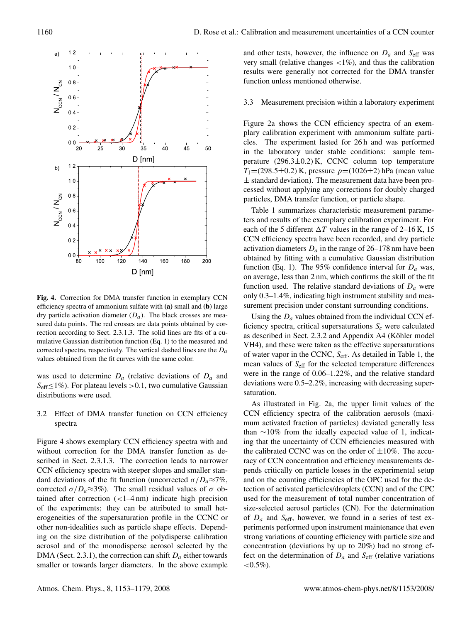

**Fig. 4.** Correction for DMA transfer function in exemplary CCN efficiency spectra of ammonium sulfate with **(a)** small and **(b)** large dry particle activation diameter  $(D_a)$ . The black crosses are measured data points. The red crosses are data points obtained by correction according to Sect. 2.3.1.3. The solid lines are fits of a cumulative Gaussian distribution function (Eq. 1) to the measured and corrected spectra, respectively. The vertical dashed lines are the  $D_a$ values obtained from the fit curves with the same color.

was used to determine  $D_a$  (relative deviations of  $D_a$  and  $S_{\text{eff}} \leq 1\%$ ). For plateau levels > 0.1, two cumulative Gaussian distributions were used.

## 3.2 Effect of DMA transfer function on CCN efficiency spectra

Figure 4 shows exemplary CCN efficiency spectra with and without correction for the DMA transfer function as described in Sect. 2.3.1.3. The correction leads to narrower CCN efficiency spectra with steeper slopes and smaller standard deviations of the fit function (uncorrected  $\sigma/D_a \approx 7\%$ , corrected  $\sigma/D_a \approx 3\%$ ). The small residual values of σ obtained after correction  $\left($  < 1–4 nm) indicate high precision of the experiments; they can be attributed to small heterogeneities of the supersaturation profile in the CCNC or other non-idealities such as particle shape effects. Depending on the size distribution of the polydisperse calibration aerosol and of the monodisperse aerosol selected by the DMA (Sect. 2.3.1), the correction can shift  $D_a$  either towards smaller or towards larger diameters. In the above example and other tests, however, the influence on  $D_a$  and  $S_{\text{eff}}$  was very small (relative changes  $\langle 1\% \rangle$ , and thus the calibration results were generally not corrected for the DMA transfer function unless mentioned otherwise.

#### 3.3 Measurement precision within a laboratory experiment

Figure 2a shows the CCN efficiency spectra of an exemplary calibration experiment with ammonium sulfate particles. The experiment lasted for 26 h and was performed in the laboratory under stable conditions: sample temperature  $(296.3\pm0.2)$  K, CCNC column top temperature  $T_1$ =(298.5±0.2) K, pressure  $p$ =(1026±2) hPa (mean value  $\pm$  standard deviation). The measurement data have been processed without applying any corrections for doubly charged particles, DMA transfer function, or particle shape.

Table 1 summarizes characteristic measurement parameters and results of the exemplary calibration experiment. For each of the 5 different  $\Delta T$  values in the range of 2–16 K, 15 CCN efficiency spectra have been recorded, and dry particle activation diameters  $D_a$  in the range of 26–178 nm have been obtained by fitting with a cumulative Gaussian distribution function (Eq. 1). The 95% confidence interval for  $D_a$  was, on average, less than 2 nm, which confirms the skill of the fit function used. The relative standard deviations of  $D_a$  were only 0.3–1.4%, indicating high instrument stability and measurement precision under constant surrounding conditions.

Using the  $D_a$  values obtained from the individual CCN efficiency spectra, critical supersaturations  $S_c$  were calculated as described in Sect. 2.3.2 and Appendix A4 (Köhler model VH4), and these were taken as the effective supersaturations of water vapor in the CCNC,  $S_{\text{eff}}$ . As detailed in Table 1, the mean values of Seff for the selected temperature differences were in the range of 0.06–1.22%, and the relative standard deviations were 0.5–2.2%, increasing with decreasing supersaturation.

As illustrated in Fig. 2a, the upper limit values of the CCN efficiency spectra of the calibration aerosols (maximum activated fraction of particles) deviated generally less than ∼10% from the ideally expected value of 1, indicating that the uncertainty of CCN efficiencies measured with the calibrated CCNC was on the order of  $\pm 10\%$ . The accuracy of CCN concentration and efficiency measurements depends critically on particle losses in the experimental setup and on the counting efficiencies of the OPC used for the detection of activated particles/droplets (CCN) and of the CPC used for the measurement of total number concentration of size-selected aerosol particles (CN). For the determination of  $D_a$  and  $S_{\text{eff}}$ , however, we found in a series of test experiments performed upon instrument maintenance that even strong variations of counting efficiency with particle size and concentration (deviations by up to 20%) had no strong effect on the determination of  $D_a$  and  $S_{\text{eff}}$  (relative variations  $< 0.5\%$ ).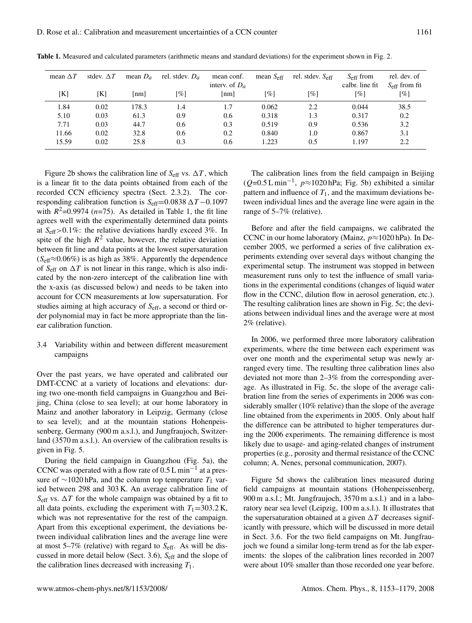| mean $\Delta T$ | stdev. $\Delta T$ | mean $D_a$ | rel. stdev. $D_a$ | mean conf.<br>interv. of $D_a$ | mean $S_{\text{eff}}$ | rel. stdev. $S_{\rm eff}$ | $S_{\rm eff}$ from<br>calbr. line fit | rel. dev. of<br>$S_{\rm eff}$ from fit |
|-----------------|-------------------|------------|-------------------|--------------------------------|-----------------------|---------------------------|---------------------------------------|----------------------------------------|
| [K]             | [K]               | [nm]       | [%]               | $\lceil nm \rceil$             | $\lceil \% \rceil$    | [%]                       | $\lceil \% \rceil$                    | $\lceil \% \rceil$                     |
| 1.84            | 0.02              | 178.3      | 1.4               | 1.7                            | 0.062                 | 2.2                       | 0.044                                 | 38.5                                   |
| 5.10            | 0.03              | 61.3       | 0.9               | 0.6                            | 0.318                 | 1.3                       | 0.317                                 | 0.2                                    |
| 7.71            | 0.03              | 44.7       | 0.6               | 0.3                            | 0.519                 | 0.9                       | 0.536                                 | 3.2                                    |
| 11.66           | 0.02              | 32.8       | 0.6               | 0.2                            | 0.840                 | 1.0                       | 0.867                                 | 3.1                                    |
| 15.59           | 0.02              | 25.8       | 0.3               | 0.6                            | 1.223                 | 0.5                       | 1.197                                 | 2.2                                    |

**Table 1.** Measured and calculated parameters (arithmetic means and standard deviations) for the experiment shown in Fig. 2.

Figure 2b shows the calibration line of  $S_{\text{eff}}$  vs.  $\Delta T$ , which is a linear fit to the data points obtained from each of the recorded CCN efficiency spectra (Sect. 2.3.2). The corresponding calibration function is  $S_{\text{eff}}$  =0.0838  $\Delta T$  −0.1097 with  $R^2$ =0.9974 (*n*=75). As detailed in Table 1, the fit line agrees well with the experimentally determined data points at  $S_{\text{eff}} > 0.1\%$ : the relative deviations hardly exceed 3%. In spite of the high  $R^2$  value, however, the relative deviation between fit line and data points at the lowest supersaturation  $(S<sub>eff</sub> \approx 0.06\%)$  is as high as 38%. Apparently the dependence of  $S_{\text{eff}}$  on  $\Delta T$  is not linear in this range, which is also indicated by the non-zero intercept of the calibration line with the x-axis (as discussed below) and needs to be taken into account for CCN measurements at low supersaturation. For studies aiming at high accuracy of  $S_{\text{eff}}$ , a second or third order polynomial may in fact be more appropriate than the linear calibration function.

# 3.4 Variability within and between different measurement campaigns

Over the past years, we have operated and calibrated our DMT-CCNC at a variety of locations and elevations: during two one-month field campaigns in Guangzhou and Beijing, China (close to sea level); at our home laboratory in Mainz and another laboratory in Leipzig, Germany (close to sea level); and at the mountain stations Hohenpeissenberg, Germany (900 m a.s.l.), and Jungfraujoch, Switzerland (3570 m a.s.l.). An overview of the calibration results is given in Fig. 5.

During the field campaign in Guangzhou (Fig. 5a), the CCNC was operated with a flow rate of  $0.5 L \text{min}^{-1}$  at a pressure of  $\sim$ 1020 hPa, and the column top temperature  $T_1$  varied between 298 and 303 K. An average calibration line of  $S_{\text{eff}}$  vs.  $\Delta T$  for the whole campaign was obtained by a fit to all data points, excluding the experiment with  $T_1=303.2 \text{ K}$ , which was not representative for the rest of the campaign. Apart from this exceptional experiment, the deviations between individual calibration lines and the average line were at most  $5-7\%$  (relative) with regard to  $S_{\text{eff}}$ . As will be discussed in more detail below (Sect. 3.6), Seff and the slope of the calibration lines decreased with increasing  $T_1$ .

The calibration lines from the field campaign in Beijing  $(Q=0.5 \text{ L min}^{-1}, p \approx 1020 \text{ hPa}; \text{ Fig. 5b})$  exhibited a similar pattern and influence of  $T_1$ , and the maximum deviations between individual lines and the average line were again in the range of 5–7% (relative).

Before and after the field campaigns, we calibrated the CCNC in our home laboratory (Mainz,  $p \approx 1020$  hPa). In December 2005, we performed a series of five calibration experiments extending over several days without changing the experimental setup. The instrument was stopped in between measurement runs only to test the influence of small variations in the experimental conditions (changes of liquid water flow in the CCNC, dilution flow in aerosol generation, etc.). The resulting calibration lines are shown in Fig. 5c; the deviations between individual lines and the average were at most 2% (relative).

In 2006, we performed three more laboratory calibration experiments, where the time between each experiment was over one month and the experimental setup was newly arranged every time. The resulting three calibration lines also deviated not more than 2–3% from the corresponding average. As illustrated in Fig. 5c, the slope of the average calibration line from the series of experiments in 2006 was considerably smaller (10% relative) than the slope of the average line obtained from the experiments in 2005. Only about half the difference can be attributed to higher temperatures during the 2006 experiments. The remaining difference is most likely due to usage- and aging-related changes of instrument properties (e.g., porosity and thermal resistance of the CCNC column; A. Nenes, personal communication, 2007).

Figure 5d shows the calibration lines measured during field campaigns at mountain stations (Hohenpeissenberg, 900 m a.s.l.; Mt. Jungfraujoch, 3570 m a.s.l.) and in a laboratory near sea level (Leipzig, 100 m a.s.l.). It illustrates that the supersaturation obtained at a given  $\Delta T$  decreases significantly with pressure, which will be discussed in more detail in Sect. 3.6. For the two field campaigns on Mt. Jungfraujoch we found a similar long-term trend as for the lab experiments: the slopes of the calibration lines recorded in 2007 were about 10% smaller than those recorded one year before.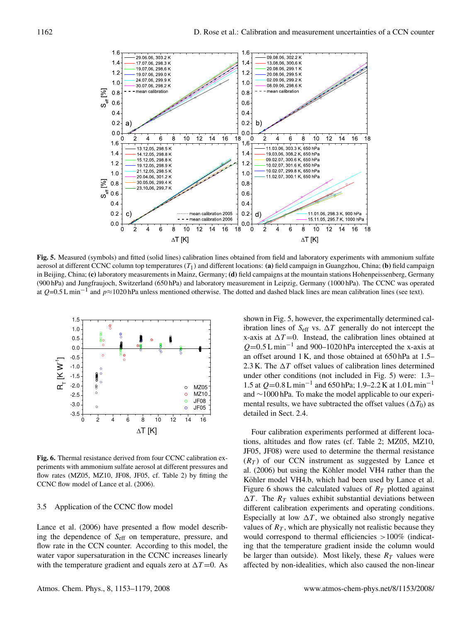

**Fig. 5.** Measured (symbols) and fitted (solid lines) calibration lines obtained from field and laboratory experiments with ammonium sulfate aerosol at different CCNC column top temperatures  $(T_1)$  and different locations: (a) field campaign in Guangzhou, China; (b) field campaign in Beijing, China; **(c)** laboratory measurements in Mainz, Germany; **(d)** field campaigns at the mountain stations Hohenpeissenberg, Germany (900 hPa) and Jungfraujoch, Switzerland (650 hPa) and laboratory measurement in Leipzig, Germany (1000 hPa). The CCNC was operated at  $Q=0.5 \text{ L min}^{-1}$  and  $p \approx 1020 \text{ hPa}$  unless mentioned otherwise. The dotted and dashed black lines are mean calibration lines (see text).



**Fig. 6.** Thermal resistance derived from four CCNC calibration experiments with ammonium sulfate aerosol at different pressures and flow rates (MZ05, MZ10, JF08, JF05, cf. Table 2) by fitting the CCNC flow model of Lance et al. (2006).

## 3.5 Application of the CCNC flow model

Lance et al. (2006) have presented a flow model describing the dependence of Seff on temperature, pressure, and flow rate in the CCN counter. According to this model, the water vapor supersaturation in the CCNC increases linearly with the temperature gradient and equals zero at  $\Delta T = 0$ . As

shown in Fig. 5, however, the experimentally determined calibration lines of  $S_{\text{eff}}$  vs.  $\Delta T$  generally do not intercept the x-axis at  $\Delta T = 0$ . Instead, the calibration lines obtained at  $Q=0.5$  L min<sup>-1</sup> and 900-1020 hPa intercepted the x-axis at an offset around 1 K, and those obtained at 650 hPa at 1.5– 2.3 K. The  $\Delta T$  offset values of calibration lines determined under other conditions (not included in Fig. 5) were: 1.3– 1.5 at  $Q=0.8 \text{ L min}^{-1}$  and 650 hPa; 1.9–2.2 K at 1.0 L min<sup>-1</sup> and ∼1000 hPa. To make the model applicable to our experimental results, we have subtracted the offset values ( $\Delta T_0$ ) as detailed in Sect. 2.4.

Four calibration experiments performed at different locations, altitudes and flow rates (cf. Table 2; MZ05, MZ10, JF05, JF08) were used to determine the thermal resistance  $(R<sub>T</sub>)$  of our CCN instrument as suggested by Lance et al. (2006) but using the Köhler model VH4 rather than the Köhler model VH4.b, which had been used by Lance et al. Figure 6 shows the calculated values of  $R<sub>T</sub>$  plotted against  $\Delta T$ . The  $R_T$  values exhibit substantial deviations between different calibration experiments and operating conditions. Especially at low  $\Delta T$ , we obtained also strongly negative values of  $R<sub>T</sub>$ , which are physically not realistic because they would correspond to thermal efficiencies >100% (indicating that the temperature gradient inside the column would be larger than outside). Most likely, these  $R<sub>T</sub>$  values were affected by non-idealities, which also caused the non-linear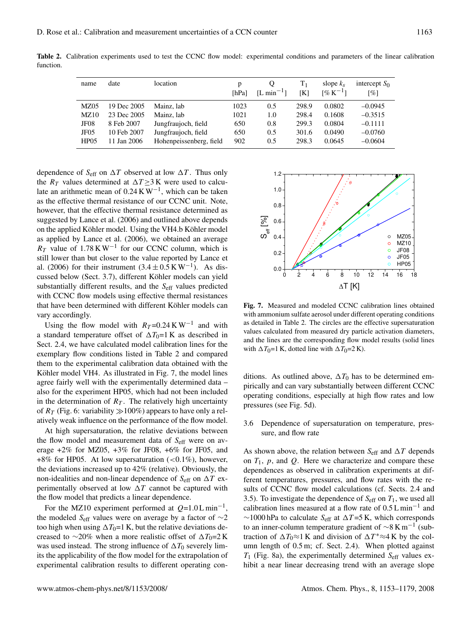| name             | date        | location                | p<br>[hPa] | Ő<br>$[L \text{ min}^{-1}]$ | $\rm T_1$<br>[K] | slope $k_s$<br>$\sqrt{6}K^{-1}$ | intercept $S_0$<br>$\lceil \% \rceil$ |
|------------------|-------------|-------------------------|------------|-----------------------------|------------------|---------------------------------|---------------------------------------|
| MZ05             | 19 Dec 2005 | Mainz, lab              | 1023       | 0.5                         | 298.9            | 0.0802                          | $-0.0945$                             |
| MZ10             | 23 Dec 2005 | Mainz, lab              | 1021       | 1.0                         | 298.4            | 0.1608                          | $-0.3515$                             |
| JF08             | 8 Feb 2007  | Jungfraujoch, field     | 650        | 0.8                         | 299.3            | 0.0804                          | $-0.1111$                             |
| JF <sub>05</sub> | 10 Feb 2007 | Jungfraujoch, field     | 650        | 0.5                         | 301.6            | 0.0490                          | $-0.0760$                             |
| HP <sub>05</sub> | 11 Jan 2006 | Hohenpeissenberg, field | 902        | 0.5                         | 298.3            | 0.0645                          | $-0.0604$                             |

**Table 2.** Calibration experiments used to test the CCNC flow model: experimental conditions and parameters of the linear calibration function.

dependence of  $S_{\text{eff}}$  on  $\Delta T$  observed at low  $\Delta T$ . Thus only the  $R_T$  values determined at  $\Delta T \geq 3$  K were used to calculate an arithmetic mean of  $0.24 \text{ K W}^{-1}$ , which can be taken as the effective thermal resistance of our CCNC unit. Note, however, that the effective thermal resistance determined as suggested by Lance et al. (2006) and outlined above depends on the applied Köhler model. Using the VH4.b Köhler model as applied by Lance et al. (2006), we obtained an average  $R_T$  value of 1.78 K W<sup>-1</sup> for our CCNC column, which is still lower than but closer to the value reported by Lance et al. (2006) for their instrument  $(3.4 \pm 0.5 \text{ K W}^{-1})$ . As discussed below (Sect. 3.7), different Köhler models can yield substantially different results, and the  $S<sub>eff</sub>$  values predicted with CCNC flow models using effective thermal resistances that have been determined with different Köhler models can vary accordingly.

Using the flow model with  $R_T = 0.24 \text{ K W}^{-1}$  and with a standard temperature offset of  $\Delta T_0=1$  K as described in Sect. 2.4, we have calculated model calibration lines for the exemplary flow conditions listed in Table 2 and compared them to the experimental calibration data obtained with the Köhler model VH4. As illustrated in Fig. 7, the model lines agree fairly well with the experimentally determined data – also for the experiment HP05, which had not been included in the determination of  $R<sub>T</sub>$ . The relatively high uncertainty of  $R<sub>T</sub>$  (Fig. 6: variability  $\gg$  100%) appears to have only a relatively weak influence on the performance of the flow model.

At high supersaturation, the relative deviations between the flow model and measurement data of  $S_{\text{eff}}$  were on average  $+2\%$  for MZ05,  $+3\%$  for JF08,  $+6\%$  for JF05, and +8% for HP05. At low supersaturation  $(<0.1\%)$ , however, the deviations increased up to 42% (relative). Obviously, the non-idealities and non-linear dependence of  $S_{\text{eff}}$  on  $\Delta T$  experimentally observed at low  $\Delta T$  cannot be captured with the flow model that predicts a linear dependence.

For the MZ10 experiment performed at  $Q=1.0 L \text{min}^{-1}$ , the modeled  $S_{\text{eff}}$  values were on average by a factor of  $\sim$ 2 too high when using  $\Delta T_0=1$  K, but the relative deviations decreased to ∼20% when a more realistic offset of  $\Delta T_0=2$  K was used instead. The strong influence of  $\Delta T_0$  severely limits the applicability of the flow model for the extrapolation of experimental calibration results to different operating con-



**Fig. 7.** Measured and modeled CCNC calibration lines obtained with ammonium sulfate aerosol under different operating conditions as detailed in Table 2. The circles are the effective supersaturation values calculated from measured dry particle activation diameters, and the lines are the corresponding flow model results (solid lines with  $\Delta T_0=1$  K, dotted line with  $\Delta T_0=2$  K).

ditions. As outlined above,  $\Delta T_0$  has to be determined empirically and can vary substantially between different CCNC operating conditions, especially at high flow rates and low pressures (see Fig. 5d).

3.6 Dependence of supersaturation on temperature, pressure, and flow rate

As shown above, the relation between  $S_{\text{eff}}$  and  $\Delta T$  depends on  $T_1$ , p, and Q. Here we characterize and compare these dependences as observed in calibration experiments at different temperatures, pressures, and flow rates with the results of CCNC flow model calculations (cf. Sects. 2.4 and 3.5). To investigate the dependence of  $S_{\text{eff}}$  on  $T_1$ , we used all calibration lines measured at a flow rate of  $0.5 L \text{min}^{-1}$  and  $\sim$ 1000 hPa to calculate S<sub>eff</sub> at  $\Delta T = 5$  K, which corresponds to an inner-column temperature gradient of  $\sim 8 \text{ K m}^{-1}$  (subtraction of  $\Delta T_0 \approx 1$  K and division of  $\Delta T^* \approx 4$  K by the column length of 0.5 m; cf. Sect. 2.4). When plotted against  $T_1$  (Fig. 8a), the experimentally determined  $S_{\text{eff}}$  values exhibit a near linear decreasing trend with an average slope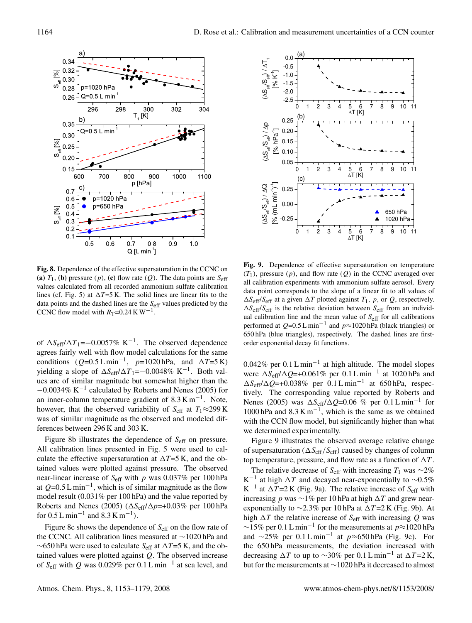

**Fig. 8.** Dependence of the effective supersaturation in the CCNC on **(a)**  $T_1$ , **(b)** pressure  $(p)$ , **(c)** flow rate  $(Q)$ . The data points are  $S_{\text{eff}}$ values calculated from all recorded ammonium sulfate calibration lines (cf. Fig. 5) at  $\Delta T = 5$  K. The solid lines are linear fits to the data points and the dashed lines are the S<sub>eff</sub> values predicted by the CCNC flow model with  $R_T$ =0.24 K W<sup>-1</sup>.

of  $\Delta S_{\text{eff}}/\Delta T_1$ =−0.0057% K<sup>-1</sup>. The observed dependence agrees fairly well with flow model calculations for the same conditions  $(Q=0.5 \text{ L min}^{-1}, p=1020 \text{ hPa}, \text{ and } \Delta T=5 \text{ K})$ yielding a slope of  $\Delta S_{\text{eff}}/\Delta T_1$  =−0.0048% K<sup>-1</sup>. Both values are of similar magnitude but somewhat higher than the <sup>−</sup>0.0034% K−<sup>1</sup> calculated by Roberts and Nenes (2005) for an inner-column temperature gradient of  $8.3 \text{ K m}^{-1}$ . Note, however, that the observed variability of  $S_{\text{eff}}$  at  $T_1 \approx 299 \text{ K}$ was of similar magnitude as the observed and modeled differences between 296 K and 303 K.

Figure 8b illustrates the dependence of S<sub>eff</sub> on pressure. All calibration lines presented in Fig. 5 were used to calculate the effective supersaturation at  $\Delta T = 5$  K, and the obtained values were plotted against pressure. The observed near-linear increase of  $S_{\text{eff}}$  with p was 0.037% per 100 hPa at  $Q=0.5 L \text{ min}^{-1}$ , which is of similar magnitude as the flow model result (0.031% per 100 hPa) and the value reported by Roberts and Nenes (2005) ( $\Delta S_{\text{eff}}/\Delta p=+0.03\%$  per 100 hPa for  $0.5 L \text{ min}^{-1}$  and  $8.3 K \text{ m}^{-1}$ ).

Figure 8c shows the dependence of  $S_{\text{eff}}$  on the flow rate of the CCNC. All calibration lines measured at ∼1020 hPa and ∼650 hPa were used to calculate Seff at 1*T*=5 K, and the obtained values were plotted against  $Q$ . The observed increase of  $S_{\text{eff}}$  with Q was 0.029% per 0.1 L min<sup>-1</sup> at sea level, and



 $(T_1)$ , pressure  $(p)$ , and flow rate  $(Q)$  in the CCNC averaged over all calibration experiments with ammonium sulfate aerosol. Every **Fig. 9.** Dependence of effective supersaturation on temperature data point corresponds to the slope of a linear fit to all values of  $\Delta S_{\text{eff}}/S_{\text{eff}}$  at a given  $\Delta T$  plotted against  $T_1$ , p, or Q, respectively.  $\Delta S_{\text{eff}}/S_{\text{eff}}$  is the relative deviation between  $S_{\text{eff}}$  from an individual calibration line and the mean value of  $S_{\text{eff}}$  for all calibrations performed at  $Q=0.5 \text{ L min}^{-1}$  and  $p \approx 1020 \text{ hPa}$  (black triangles) or 650 hPa (blue triangles), respectively. The dashed lines are firstorder exponential decay fit functions.

0.042% per  $0.1 L \text{min}^{-1}$  at high altitude. The model slopes were  $\Delta S_{\text{eff}}/\Delta Q$ =+0.061% per 0.1 L min<sup>-1</sup> at 1020 hPa and 1*S*eff/1*Q*=+0.038% per 0.1 L min−<sup>1</sup> at 650 hPa, respectively. The corresponding value reported by Roberts and Nenes (2005) was  $\Delta S_{\text{eff}}/\Delta Q$ =0.06 % per 0.1 L min<sup>-1</sup> for 1000 hPa and  $8.3 \text{ K m}^{-1}$ , which is the same as we obtained with the CCN flow model, but significantly higher than what we determined experimentally.

Figure 9 illustrates the observed average relative change of supersaturation ( $\Delta S_{\text{eff}}/S_{\text{eff}}$ ) caused by changes of column top temperature, pressure, and flow rate as a function of  $\Delta T$ .

The relative decrease of S<sub>eff</sub> with increasing  $T_1$  was ∼2%  $K^{-1}$  at high  $\Delta T$  and decayed near-exponentially to ~0.5% K<sup>-1</sup> at  $\Delta T$ =2 K (Fig. 9a). The relative increase of S<sub>eff</sub> with increasing p was  $\sim$ 1% per 10 hPa at high  $\Delta T$  and grew nearexponentially to ~2.3% per 10 hPa at  $\Delta T = 2$  K (Fig. 9b). At high  $\Delta T$  the relative increase of S<sub>eff</sub> with increasing Q was ~15% per 0.1 L min<sup>-1</sup> for the measurements at  $p \approx 1020$  hPa and ∼25% per  $0.1 \text{ L min}^{-1}$  at  $p \approx 650 \text{ hPa}$  (Fig. 9c). For the 650 hPa measurements, the deviation increased with decreasing  $\Delta T$  to up to ~30% per 0.1 L min<sup>-1</sup> at  $\Delta T$ =2 K, but for the measurements at ∼1020 hPa it decreased to almost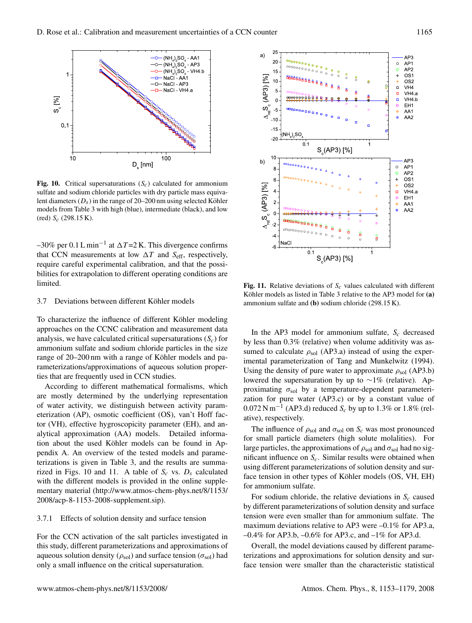

**Fig. 10.** Critical supersaturations  $(S_c)$  calculated for ammonium sulfate and sodium chloride particles with dry particle mass equivalent diameters ( $D_s$ ) in the range of 20–200 nm using selected Köhler models from Table 3 with high (blue), intermediate (black), and low (red)  $S_c$  (298.15 K).

–30% per 0.1 L min<sup>-1</sup> at  $\Delta T$ =2 K. This divergence confirms that CCN measurements at low  $\Delta T$  and  $S_{\text{eff}}$ , respectively, require careful experimental calibration, and that the possibilities for extrapolation to different operating conditions are limited.

#### 3.7 Deviations between different Köhler models

To characterize the influence of different Köhler modeling approaches on the CCNC calibration and measurement data analysis, we have calculated critical supersaturations  $(S<sub>c</sub>)$  for ammonium sulfate and sodium chloride particles in the size range of 20–200 nm with a range of Köhler models and parameterizations/approximations of aqueous solution properties that are frequently used in CCN studies.

According to different mathematical formalisms, which are mostly determined by the underlying representation of water activity, we distinguish between activity parameterization (AP), osmotic coefficient (OS), van't Hoff factor (VH), effective hygroscopicity parameter (EH), and analytical approximation (AA) models. Detailed information about the used Köhler models can be found in Appendix A. An overview of the tested models and parameterizations is given in Table 3, and the results are summarized in Figs. 10 and 11. A table of  $S_c$  vs.  $D_s$  calculated with the different models is provided in the online supplementary material (http://www.atmos-chem-phys.net/8/1153/ 2008/acp-8-1153-2008-supplement.sip).

#### 3.7.1 Effects of solution density and surface tension

For the CCN activation of the salt particles investigated in this study, different parameterizations and approximations of aqueous solution density ( $\rho_{sol}$ ) and surface tension ( $\sigma_{sol}$ ) had only a small influence on the critical supersaturation.



**Fig. 11.** Relative deviations of  $S_c$  values calculated with different Köhler models as listed in Table 3 relative to the AP3 model for (a) ammonium sulfate and **(b)** sodium chloride (298.15 K).

In the AP3 model for ammonium sulfate,  $S_c$  decreased by less than 0.3% (relative) when volume additivity was assumed to calculate  $\rho_{sol}$  (AP3.a) instead of using the experimental parameterization of Tang and Munkelwitz (1994). Using the density of pure water to approximate  $\rho_{sol}$  (AP3.b) lowered the supersaturation by up to ∼1% (relative). Approximating  $\sigma_{\text{sol}}$  by a temperature-dependent parameterization for pure water (AP3.c) or by a constant value of  $0.072$  N m<sup>-1</sup> (AP3.d) reduced  $S_c$  by up to 1.3% or 1.8% (relative), respectively.

The influence of  $\rho_{sol}$  and  $\sigma_{sol}$  on  $S_c$  was most pronounced for small particle diameters (high solute molalities). For large particles, the approximations of  $\rho_{sol}$  and  $\sigma_{sol}$  had no significant influence on  $S_c$ . Similar results were obtained when using different parameterizations of solution density and surface tension in other types of Köhler models (OS, VH, EH) for ammonium sulfate.

For sodium chloride, the relative deviations in  $S_c$  caused by different parameterizations of solution density and surface tension were even smaller than for ammonium sulfate. The maximum deviations relative to AP3 were –0.1% for AP3.a,  $-0.4\%$  for AP3.b,  $-0.6\%$  for AP3.c, and  $-1\%$  for AP3.d.

Overall, the model deviations caused by different parameterizations and approximations for solution density and surface tension were smaller than the characteristic statistical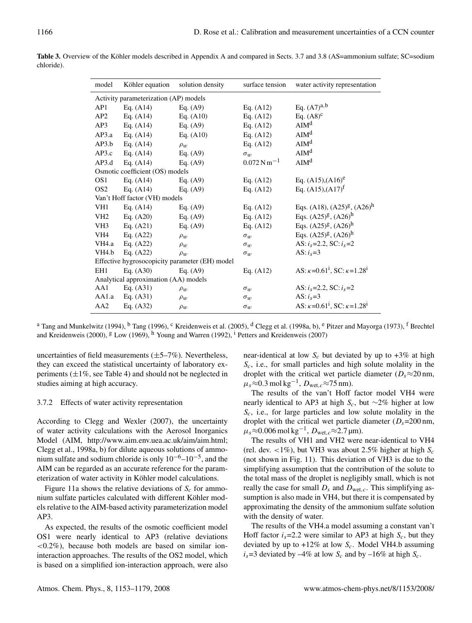| model              | Köhler equation                       | solution density                               | surface tension                      | water activity representation                                     |
|--------------------|---------------------------------------|------------------------------------------------|--------------------------------------|-------------------------------------------------------------------|
|                    | Activity parameterization (AP) models |                                                |                                      |                                                                   |
| AP1                | Eq. $(A14)$                           | Eq. $(A9)$                                     | Eq. $(A12)$                          | Eq. $(A7)^{a,b}$                                                  |
| AP2                | Eq. $(A14)$                           | Eq. $(A10)$                                    | Eq. $(A12)$                          | Eq. $(A8)^c$                                                      |
| AP3                | Eq. $(A14)$                           | Eq. $(A9)$                                     | Eq. $(A12)$                          | AIM <sup>d</sup>                                                  |
| AP3.a              | Eq. $(A14)$                           | Eq. $(A10)$                                    | Eq. $(A12)$                          | AIM <sup>d</sup>                                                  |
| AP3.b              | Eq. $(A14)$                           | $\rho_w$                                       | Eq. $(A12)$                          | $\mathrm{AIM}^{\mathrm{d}}$                                       |
| AP3.c              | Eq. $(A14)$                           | Eq. $(A9)$                                     | $\sigma_w$                           | AIM <sup>d</sup>                                                  |
| AP3.d              | Eq. $(A14)$                           | Eq. $(A9)$                                     | $0.072\,\mathrm{N}\,\mathrm{m}^{-1}$ | AIM <sup>d</sup>                                                  |
|                    | Osmotic coefficient (OS) models       |                                                |                                      |                                                                   |
| OS <sub>1</sub>    | Eq. $(A14)$                           | Eq. $(A9)$                                     | Eq. $(A12)$                          | Eq. $(A15)$ , $(A16)$ <sup>e</sup>                                |
| OS <sub>2</sub>    | Eq. $(A14)$                           | Eq. $(A9)$                                     | Eq. $(A12)$                          | Eq. $(A15),(A17)^f$                                               |
|                    | Van't Hoff factor (VH) models         |                                                |                                      |                                                                   |
| VH1                | Eq. $(A14)$                           | Eq. $(A9)$                                     | Eq. $(A12)$                          | Eqs. (A18), $(A25)^{g}$ , $(A26)^{h}$                             |
| VH <sub>2</sub>    | Eq. $(A20)$                           | Eq. $(A9)$                                     | Eq. $(A12)$                          | Eqs. $(A25)^g$ , $(A26)^h$                                        |
| VH3                | Eq. $(A21)$                           | Eq. $(A9)$                                     | Eq. $(A12)$                          | Eqs. $(A25)^g$ , $(A26)^h$                                        |
| VH4                | Eq. $(A22)$                           | $\rho_w$                                       | $\sigma_w$                           | Eqs. $(A25)^g$ , $(A26)^h$                                        |
| VH4.a              | Eq. $(A22)$                           | $\rho_w$                                       | $\sigma_w$                           | AS: $i_s$ =2.2, SC: $i_s$ =2                                      |
| VH <sub>4</sub> .b | Eq. $(A22)$                           | $\rho_w$                                       | $\sigma_w$                           | AS: $i_s=3$                                                       |
|                    |                                       | Effective hygrosocopicity parameter (EH) model |                                      |                                                                   |
| EH <sub>1</sub>    | Eq. $(A30)$                           | Eq. $(A9)$                                     | Eq. $(A12)$                          | AS: $\kappa$ =0.61 <sup>i</sup> , SC: $\kappa$ =1.28 <sup>i</sup> |
|                    | Analytical approximation (AA) models  |                                                |                                      |                                                                   |
| AA1                | Eq. $(A31)$                           | $\rho_w$                                       | $\sigma_w$                           | AS: $i_s$ =2.2, SC: $i_s$ =2                                      |
| AA1.a              | Eq. $(A31)$                           | $\rho_w$                                       | $\sigma_w$                           | AS: $i_s=3$                                                       |
| AA <sub>2</sub>    | Eq. $(A32)$                           | $\rho_w$                                       | $\sigma_w$                           | AS: $\kappa$ =0.61 <sup>i</sup> , SC: $\kappa$ =1.28 <sup>i</sup> |

Table 3. Overview of the Köhler models described in Appendix A and compared in Sects. 3.7 and 3.8 (AS=ammonium sulfate; SC=sodium chloride).

<sup>a</sup> Tang and Munkelwitz (1994), <sup>b</sup> Tang (1996), <sup>c</sup> Kreidenweis et al. (2005), <sup>d</sup> Clegg et al. (1998a, b), <sup>e</sup> Pitzer and Mayorga (1973), <sup>f</sup> Brechtel and Kreidenweis (2000),  $g$  Low (1969), <sup>h</sup> Young and Warren (1992), <sup>i</sup> Petters and Kreidenweis (2007)

uncertainties of field measurements  $(\pm 5 - 7\%)$ . Nevertheless, they can exceed the statistical uncertainty of laboratory experiments  $(\pm 1\%$ , see Table 4) and should not be neglected in studies aiming at high accuracy.

## 3.7.2 Effects of water activity representation

According to Clegg and Wexler (2007), the uncertainty of water activity calculations with the Aerosol Inorganics Model (AIM, http://www.aim.env.uea.ac.uk/aim/aim.html; Clegg et al., 1998a, b) for dilute aqueous solutions of ammonium sulfate and sodium chloride is only  $10^{-6}$ – $10^{-5}$ , and the AIM can be regarded as an accurate reference for the parameterization of water activity in Köhler model calculations.

Figure 11a shows the relative deviations of  $S_c$  for ammonium sulfate particles calculated with different Köhler models relative to the AIM-based activity parameterization model AP3.

As expected, the results of the osmotic coefficient model OS1 were nearly identical to AP3 (relative deviations  $\langle 0.2\% \rangle$ , because both models are based on similar ioninteraction approaches. The results of the OS2 model, which is based on a simplified ion-interaction approach, were also

near-identical at low  $S_c$  but deviated by up to  $+3\%$  at high  $S_c$ , i.e., for small particles and high solute molality in the droplet with the critical wet particle diameter ( $D_s \approx 20$  nm,  $\mu_s \approx 0.3 \text{ mol kg}^{-1}$ ,  $D_{\text{wet},c} \approx 75 \text{ nm}$ .

The results of the van't Hoff factor model VH4 were nearly identical to AP3 at high  $S_c$ , but ∼2% higher at low  $S_c$ , i.e., for large particles and low solute molality in the droplet with the critical wet particle diameter  $(D_s=200 \text{ nm},$  $\mu_s \approx 0.006 \text{ mol kg}^{-1}$ ,  $D_{\text{wet},c} \approx 2.7 \text{ µm}$ .

The results of VH1 and VH2 were near-identical to VH4 (rel. dev.  $\langle 1\% \rangle$ , but VH3 was about 2.5% higher at high  $S_c$ (not shown in Fig. 11). This deviation of VH3 is due to the simplifying assumption that the contribution of the solute to the total mass of the droplet is negligibly small, which is not really the case for small  $D_s$  and  $D_{wet,c}$ . This simplifying assumption is also made in VH4, but there it is compensated by approximating the density of the ammonium sulfate solution with the density of water.

The results of the VH4.a model assuming a constant van't Hoff factor  $i_s$ =2.2 were similar to AP3 at high  $S_c$ , but they deviated by up to  $+12\%$  at low  $S_c$ . Model VH4.b assuming  $i_s$ =3 deviated by -4% at low  $S_c$  and by -16% at high  $S_c$ .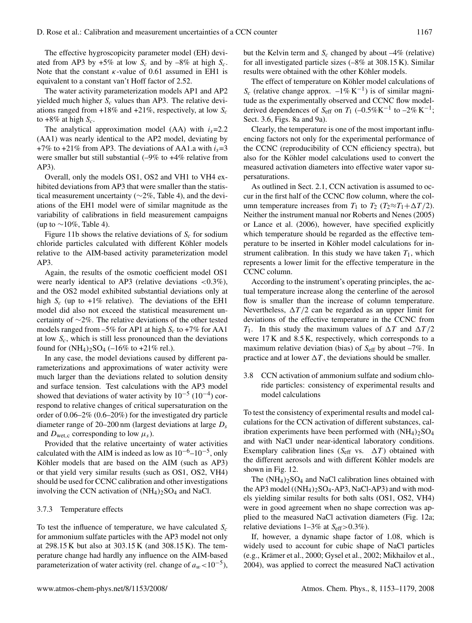The effective hygroscopicity parameter model (EH) deviated from AP3 by +5% at low  $S_c$  and by  $-8\%$  at high  $S_c$ . Note that the constant  $\kappa$ -value of 0.61 assumed in EH1 is equivalent to a constant van't Hoff factor of 2.52.

The water activity parameterization models AP1 and AP2 yielded much higher  $S_c$  values than AP3. The relative deviations ranged from  $+18\%$  and  $+21\%$ , respectively, at low  $S_c$ to  $+8\%$  at high  $S_c$ .

The analytical approximation model (AA) with  $i_s$ =2.2 (AA1) was nearly identical to the AP2 model, deviating by +7% to +21% from AP3. The deviations of AA1.a with  $i_s$ =3 were smaller but still substantial (–9% to +4% relative from AP3).

Overall, only the models OS1, OS2 and VH1 to VH4 exhibited deviations from AP3 that were smaller than the statistical measurement uncertainty (∼2%, Table 4), and the deviations of the EH1 model were of similar magnitude as the variability of calibrations in field measurement campaigns (up to  $\sim$ 10%, Table 4).

Figure 11b shows the relative deviations of  $S_c$  for sodium chloride particles calculated with different Köhler models relative to the AIM-based activity parameterization model AP3.

Again, the results of the osmotic coefficient model OS1 were nearly identical to AP3 (relative deviations  $\langle 0.3\% \rangle$ ), and the OS2 model exhibited substantial deviations only at high  $S_c$  (up to +1% relative). The deviations of the EH1 model did also not exceed the statistical measurement uncertainty of ∼2%. The relative deviations of the other tested models ranged from  $-5\%$  for AP1 at high  $S_c$  to  $+7\%$  for AA1 at low  $S_c$ , which is still less pronounced than the deviations found for  $(NH_4)_2SO_4$  (-16% to +21% rel.).

In any case, the model deviations caused by different parameterizations and approximations of water activity were much larger than the deviations related to solution density and surface tension. Test calculations with the AP3 model showed that deviations of water activity by  $10^{-5}$  ( $10^{-4}$ ) correspond to relative changes of critical supersaturation on the order of 0.06–2% (0.6–20%) for the investigated dry particle diameter range of 20–200 nm (largest deviations at large  $D_s$ and  $D_{\text{wet},c}$  corresponding to low  $\mu_s$ ).

Provided that the relative uncertainty of water activities calculated with the AIM is indeed as low as  $10^{-6}$ – $10^{-5}$ , only Köhler models that are based on the AIM (such as AP3) or that yield very similar results (such as OS1, OS2, VH4) should be used for CCNC calibration and other investigations involving the CCN activation of  $(NH_4)_2SO_4$  and NaCl.

## 3.7.3 Temperature effects

To test the influence of temperature, we have calculated  $S_c$ for ammonium sulfate particles with the AP3 model not only at 298.15 K but also at 303.15 K (and 308.15 K). The temperature change had hardly any influence on the AIM-based parameterization of water activity (rel. change of  $a_w$ <10<sup>-5</sup>),

but the Kelvin term and  $S_c$  changed by about  $-4\%$  (relative) for all investigated particle sizes (–8% at 308.15 K). Similar results were obtained with the other Köhler models.

The effect of temperature on Köhler model calculations of  $S_c$  (relative change approx.  $-1\% K^{-1}$ ) is of similar magnitude as the experimentally observed and CCNC flow modelderived dependences of  $S_{\text{eff}}$  on  $T_1$  (-0.5%K<sup>-1</sup> to -2% K<sup>-1</sup>; Sect. 3.6, Figs. 8a and 9a).

Clearly, the temperature is one of the most important influencing factors not only for the experimental performance of the CCNC (reproducibility of CCN efficiency spectra), but also for the Köhler model calculations used to convert the measured activation diameters into effective water vapor supersaturations.

As outlined in Sect. 2.1, CCN activation is assumed to occur in the first half of the CCNC flow column, where the column temperature increases from  $T_1$  to  $T_2$  ( $T_2 \approx T_1 + \Delta T/2$ ). Neither the instrument manual nor Roberts and Nenes (2005) or Lance et al. (2006), however, have specified explicitly which temperature should be regarded as the effective temperature to be inserted in Köhler model calculations for instrument calibration. In this study we have taken  $T_1$ , which represents a lower limit for the effective temperature in the CCNC column.

According to the instrument's operating principles, the actual temperature increase along the centerline of the aerosol flow is smaller than the increase of column temperature. Nevertheless,  $\Delta T/2$  can be regarded as an upper limit for deviations of the effective temperature in the CCNC from  $T_1$ . In this study the maximum values of  $\Delta T$  and  $\Delta T/2$ were 17 K and 8.5 K, respectively, which corresponds to a maximum relative deviation (bias) of  $S_{\text{eff}}$  by about  $-7\%$ . In practice and at lower  $\Delta T$ , the deviations should be smaller.

3.8 CCN activation of ammonium sulfate and sodium chloride particles: consistency of experimental results and model calculations

To test the consistency of experimental results and model calculations for the CCN activation of different substances, calibration experiments have been performed with  $(NH<sub>4</sub>)<sub>2</sub>SO<sub>4</sub>$ and with NaCl under near-identical laboratory conditions. Exemplary calibration lines ( $S_{\text{eff}}$  vs.  $\Delta T$ ) obtained with the different aerosols and with different Köhler models are shown in Fig. 12.

The  $(NH_4)_2SO_4$  and NaCl calibration lines obtained with the AP3 model  $((NH_4)_2SO_4$ -AP3, NaCl-AP3) and with models yielding similar results for both salts (OS1, OS2, VH4) were in good agreement when no shape correction was applied to the measured NaCl activation diameters (Fig. 12a; relative deviations  $1-3\%$  at  $S_{\text{eff}} > 0.3\%$ ).

If, however, a dynamic shape factor of 1.08, which is widely used to account for cubic shape of NaCl particles (e.g., Krämer et al., 2000; Gysel et al., 2002; Mikhailov et al., 2004), was applied to correct the measured NaCl activation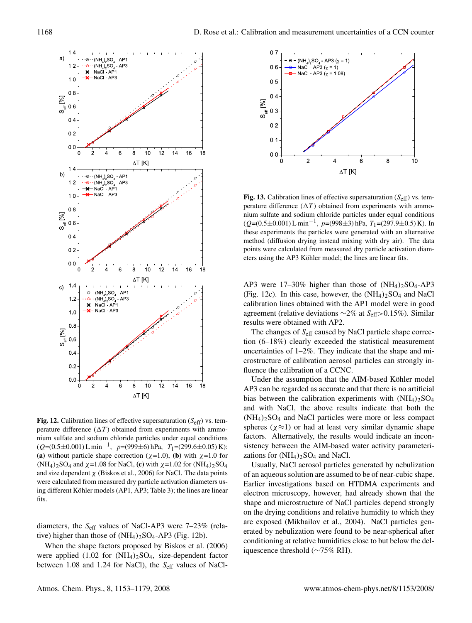

**Fig. 12.** Calibration lines of effective supersaturation  $(S_{\text{eff}})$  vs. temperature difference  $(\Delta T)$  obtained from experiments with ammonium sulfate and sodium chloride particles under equal conditions  $(Q=(0.5\pm0.001) \text{ L min}^{-1}, \ p=(999\pm6) \text{ hPa}, \ T_1=(299.6\pm0.05) \text{ K})$ : **(a)** without particle shape correction ( $\chi$ =1.0), **(b)** with  $\chi$ =1.0 for (NH<sub>4</sub>)<sub>2</sub>SO<sub>4</sub> and  $\chi$ =1.08 for NaCl, **(c)** with  $\chi$ =1.02 for (NH<sub>4</sub>)<sub>2</sub>SO<sub>4</sub> and size dependent  $\chi$  (Biskos et al., 2006) for NaCl. The data points were calculated from measured dry particle activation diameters using different Köhler models (AP1, AP3; Table 3); the lines are linear fits.

diameters, the  $S_{\text{eff}}$  values of NaCl-AP3 were 7–23% (relative) higher than those of  $(NH_4)_2SO_4$ -AP3 (Fig. 12b).

When the shape factors proposed by Biskos et al. (2006) were applied  $(1.02 \text{ for } (NH_4)_2\text{SO}_4, \text{ size-dependent factor})$ between 1.08 and 1.24 for NaCl), the  $S_{\text{eff}}$  values of NaCl-



**Fig. 13.** Calibration lines of effective supersaturation  $(S_{\text{eff}})$  vs. temperature difference  $(\Delta T)$  obtained from experiments with ammonium sulfate and sodium chloride particles under equal conditions  $(Q=(0.5\pm0.001) \text{ L min}^{-1}, p=(998\pm3) \text{ hPa}, T_1=(297.9\pm0.5) \text{ K}).$  In these experiments the particles were generated with an alternative method (diffusion drying instead mixing with dry air). The data points were calculated from measured dry particle activation diameters using the AP3 Köhler model; the lines are linear fits.

AP3 were  $17-30\%$  higher than those of  $(NH_4)_2SO_4$ -AP3 (Fig. 12c). In this case, however, the  $(NH_4)_2SO_4$  and NaCl calibration lines obtained with the AP1 model were in good agreement (relative deviations  $\sim$ 2% at S<sub>eff</sub>>0.15%). Similar results were obtained with AP2.

The changes of S<sub>eff</sub> caused by NaCl particle shape correction (6–18%) clearly exceeded the statistical measurement uncertainties of 1–2%. They indicate that the shape and microstructure of calibration aerosol particles can strongly influence the calibration of a CCNC.

Under the assumption that the AIM-based Köhler model AP3 can be regarded as accurate and that there is no artificial bias between the calibration experiments with  $(NH_4)_2SO_4$ and with NaCl, the above results indicate that both the  $(NH_4)_2SO_4$  and NaCl particles were more or less compact spheres ( $\chi \approx 1$ ) or had at least very similar dynamic shape factors. Alternatively, the results would indicate an inconsistency between the AIM-based water activity parameterizations for  $(NH_4)_2SO_4$  and NaCl.

Usually, NaCl aerosol particles generated by nebulization of an aqueous solution are assumed to be of near-cubic shape. Earlier investigations based on HTDMA experiments and electron microscopy, however, had already shown that the shape and microstructure of NaCl particles depend strongly on the drying conditions and relative humidity to which they are exposed (Mikhailov et al., 2004). NaCl particles generated by nebulization were found to be near-spherical after conditioning at relative humidities close to but below the deliquescence threshold (∼75% RH).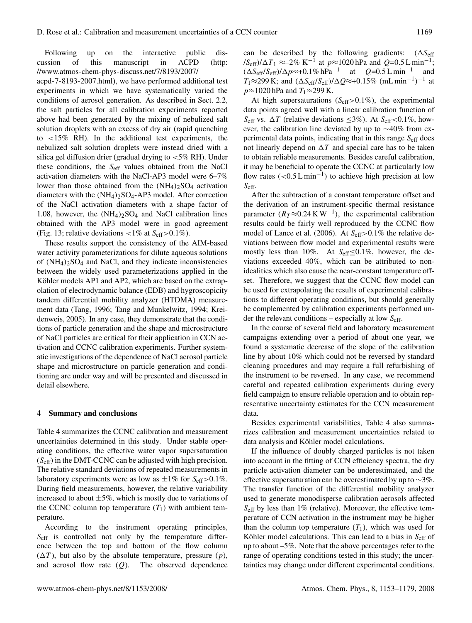Following up on the interactive public discussion of this manuscript in ACPD (http: //www.atmos-chem-phys-discuss.net/7/8193/2007/ acpd-7-8193-2007.html), we have performed additional test experiments in which we have systematically varied the conditions of aerosol generation. As described in Sect. 2.2, the salt particles for all calibration experiments reported above had been generated by the mixing of nebulized salt solution droplets with an excess of dry air (rapid quenching to <15% RH). In the additional test experiments, the nebulized salt solution droplets were instead dried with a silica gel diffusion drier (gradual drying to  $<$  5% RH). Under these conditions, the  $S_{\text{eff}}$  values obtained from the NaCl activation diameters with the NaCl-AP3 model were 6–7% lower than those obtained from the  $(NH_4)_2SO_4$  activation diameters with the  $(NH_4)_2SO_4$ -AP3 model. After correction of the NaCl activation diameters with a shape factor of 1.08, however, the  $(NH_4)_2SO_4$  and NaCl calibration lines obtained with the AP3 model were in good agreement (Fig. 13; relative deviations  $\langle 1\% \text{ at } S_{\text{eff}} \rangle 0.1\%$ ).

These results support the consistency of the AIM-based water activity parameterizations for dilute aqueous solutions of  $(NH_4)_2SO_4$  and NaCl, and they indicate inconsistencies between the widely used parameterizations applied in the Köhler models AP1 and AP2, which are based on the extrapolation of electrodynamic balance (EDB) and hygroscopicity tandem differential mobility analyzer (HTDMA) measurement data (Tang, 1996; Tang and Munkelwitz, 1994; Kreidenweis, 2005). In any case, they demonstrate that the conditions of particle generation and the shape and microstructure of NaCl particles are critical for their application in CCN activation and CCNC calibration experiments. Further systematic investigations of the dependence of NaCl aerosol particle shape and microstructure on particle generation and conditioning are under way and will be presented and discussed in detail elsewhere.

#### **4 Summary and conclusions**

Table 4 summarizes the CCNC calibration and measurement uncertainties determined in this study. Under stable operating conditions, the effective water vapor supersaturation  $(S<sub>eff</sub>)$  in the DMT-CCNC can be adjusted with high precision. The relative standard deviations of repeated measurements in laboratory experiments were as low as  $\pm 1\%$  for  $S_{\text{eff}} > 0.1\%$ . During field measurements, however, the relative variability increased to about  $\pm 5\%$ , which is mostly due to variations of the CCNC column top temperature  $(T_1)$  with ambient temperature.

According to the instrument operating principles, S<sub>eff</sub> is controlled not only by the temperature difference between the top and bottom of the flow column  $(\Delta T)$ , but also by the absolute temperature, pressure  $(p)$ , and aerosol flow rate  $(Q)$ . The observed dependence can be described by the following gradients:  $(\Delta S_{\text{eff}})$  $\frac{fS_{\text{eff}}}{\Delta T_1}$  ≈–2% K<sup>-1</sup> at  $p \approx 1020$  hPa and  $Q=0.5$  L min<sup>-1</sup>;  $(\Delta S_{\text{eff}}/S_{\text{eff}})/\Delta p \approx +0.1\% \text{ hPa}^{-1}$  at  $Q=0.5 \text{ L min}^{-1}$  and  $T_1 \approx 299 \text{ K}$ ; and  $(\Delta S_{\text{eff}}/S_{\text{eff}})/\Delta Q \approx +0.15\% \text{ (mL min}^{-1})^{-1}$  at  $p \approx 1020$  hPa and  $T_1 \approx 299$  K.

At high supersaturations ( $S_{\text{eff}} > 0.1\%$ ), the experimental data points agreed well with a linear calibration function of S<sub>eff</sub> vs.  $\Delta T$  (relative deviations  $\leq$ 3%). At S<sub>eff</sub> <0.1%, however, the calibration line deviated by up to ∼40% from experimental data points, indicating that in this range  $S_{\text{eff}}$  does not linearly depend on  $\Delta T$  and special care has to be taken to obtain reliable measurements. Besides careful calibration, it may be beneficial to operate the CCNC at particularly low flow rates  $(<0.5 L min<sup>-1</sup>)$  to achieve high precision at low Seff.

After the subtraction of a constant temperature offset and the derivation of an instrument-specific thermal resistance parameter  $(R_T \approx 0.24 \text{ K W}^{-1})$ , the experimental calibration results could be fairly well reproduced by the CCNC flow model of Lance et al. (2006). At  $S_{\text{eff}} > 0.1\%$  the relative deviations between flow model and experimental results were mostly less than 10%. At  $S_{\text{eff}}{\leq}0.1\%$ , however, the deviations exceeded 40%, which can be attributed to nonidealities which also cause the near-constant temperature offset. Therefore, we suggest that the CCNC flow model can be used for extrapolating the results of experimental calibrations to different operating conditions, but should generally be complemented by calibration experiments performed under the relevant conditions – especially at low  $S_{\text{eff}}$ .

In the course of several field and laboratory measurement campaigns extending over a period of about one year, we found a systematic decrease of the slope of the calibration line by about 10% which could not be reversed by standard cleaning procedures and may require a full refurbishing of the instrument to be reversed. In any case, we recommend careful and repeated calibration experiments during every field campaign to ensure reliable operation and to obtain representative uncertainty estimates for the CCN measurement data.

Besides experimental variabilities, Table 4 also summarizes calibration and measurement uncertainties related to data analysis and Köhler model calculations.

If the influence of doubly charged particles is not taken into account in the fitting of CCN efficiency spectra, the dry particle activation diameter can be underestimated, and the effective supersaturation can be overestimated by up to  $\sim$ 3%. The transfer function of the differential mobility analyzer used to generate monodisperse calibration aerosols affected  $S_{\text{eff}}$  by less than 1% (relative). Moreover, the effective temperature of CCN activation in the instrument may be higher than the column top temperature  $(T_1)$ , which was used for Köhler model calculations. This can lead to a bias in  $S_{\text{eff}}$  of up to about –5%. Note that the above percentages refer to the range of operating conditions tested in this study; the uncertainties may change under different experimental conditions.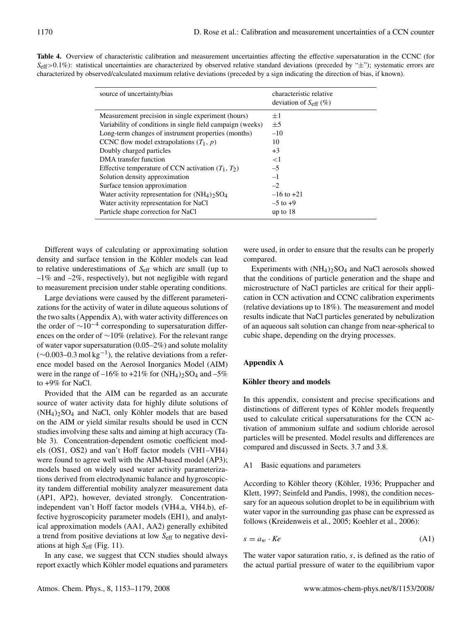|  |  |  |  | Table 4. Overview of characteristic calibration and measurement uncertainties affecting the effective supersaturation in the CCNC (for                          |  |
|--|--|--|--|-----------------------------------------------------------------------------------------------------------------------------------------------------------------|--|
|  |  |  |  | $S_{\text{eff}} > 0.1\%$ ): statistical uncertainties are characterized by observed relative standard deviations (preceded by " $\pm$ "); systematic errors are |  |
|  |  |  |  | characterized by observed/calculated maximum relative deviations (preceded by a sign indicating the direction of bias, if known).                               |  |

| source of uncertainty/bias                                                                                                                                                                                                                                                                                                                                                                                                                                                                                                                                      | characteristic relative<br>deviation of $S_{\rm eff}$ (%)                                                               |
|-----------------------------------------------------------------------------------------------------------------------------------------------------------------------------------------------------------------------------------------------------------------------------------------------------------------------------------------------------------------------------------------------------------------------------------------------------------------------------------------------------------------------------------------------------------------|-------------------------------------------------------------------------------------------------------------------------|
| Measurement precision in single experiment (hours)<br>Variability of conditions in single field campaign (weeks)<br>Long-term changes of instrument properties (months)<br>CCNC flow model extrapolations $(T_1, p)$<br>Doubly charged particles<br>DMA transfer function<br>Effective temperature of CCN activation $(T_1, T_2)$<br>Solution density approximation<br>Surface tension approximation<br>Water activity representation for $(NH_4)$ <sub>2</sub> SO <sub>4</sub><br>Water activity representation for NaCl<br>Particle shape correction for NaCl | $\pm 1$<br>$\pm$ 5<br>$-10$<br>10<br>$+3$<br><1<br>$-5$<br>$-1$<br>$-2$<br>$-16$ to $+21$<br>$-5$ to $+9$<br>up to $18$ |
|                                                                                                                                                                                                                                                                                                                                                                                                                                                                                                                                                                 |                                                                                                                         |

Different ways of calculating or approximating solution density and surface tension in the Köhler models can lead to relative underestimations of  $S_{\text{eff}}$  which are small (up to  $-1\%$  and  $-2\%$ , respectively), but not negligible with regard to measurement precision under stable operating conditions.

Large deviations were caused by the different parameterizations for the activity of water in dilute aqueous solutions of the two salts (Appendix A), with water activity differences on the order of  $\sim 10^{-4}$  corresponding to supersaturation differences on the order of ∼10% (relative). For the relevant range of water vapor supersaturation (0.05–2%) and solute molality  $(\sim 0.003 - 0.3 \,\text{mol} \,\text{kg}^{-1})$ , the relative deviations from a reference model based on the Aerosol Inorganics Model (AIM) were in the range of  $-16\%$  to  $+21\%$  for  $(NH_4)_2SO_4$  and  $-5\%$ to +9% for NaCl.

Provided that the AIM can be regarded as an accurate source of water activity data for highly dilute solutions of  $(NH_4)_2SO_4$  and NaCl, only Köhler models that are based on the AIM or yield similar results should be used in CCN studies involving these salts and aiming at high accuracy (Table 3). Concentration-dependent osmotic coefficient models (OS1, OS2) and van't Hoff factor models (VH1–VH4) were found to agree well with the AIM-based model (AP3); models based on widely used water activity parameterizations derived from electrodynamic balance and hygroscopicity tandem differential mobility analyzer measurement data (AP1, AP2), however, deviated strongly. Concentrationindependent van't Hoff factor models (VH4.a, VH4.b), effective hygroscopicity parameter models (EH1), and analytical approximation models (AA1, AA2) generally exhibited a trend from positive deviations at low  $S_{\text{eff}}$  to negative deviations at high  $S_{\text{eff}}$  (Fig. 11).

In any case, we suggest that CCN studies should always report exactly which Köhler model equations and parameters were used, in order to ensure that the results can be properly compared.

Experiments with  $(NH_4)_2SO_4$  and NaCl aerosols showed that the conditions of particle generation and the shape and microstructure of NaCl particles are critical for their application in CCN activation and CCNC calibration experiments (relative deviations up to 18%). The measurement and model results indicate that NaCl particles generated by nebulization of an aqueous salt solution can change from near-spherical to cubic shape, depending on the drying processes.

# **Appendix A**

# **Köhler theory and models**

In this appendix, consistent and precise specifications and distinctions of different types of Köhler models frequently used to calculate critical supersaturations for the CCN activation of ammonium sulfate and sodium chloride aerosol particles will be presented. Model results and differences are compared and discussed in Sects. 3.7 and 3.8.

## A1 Basic equations and parameters

According to Köhler theory (Köhler, 1936; Pruppacher and Klett, 1997; Seinfeld and Pandis, 1998), the condition necessary for an aqueous solution droplet to be in equilibrium with water vapor in the surrounding gas phase can be expressed as follows (Kreidenweis et al., 2005; Koehler et al., 2006):

$$
s = a_w \cdot Ke \tag{A1}
$$

The water vapor saturation ratio, s, is defined as the ratio of the actual partial pressure of water to the equilibrium vapor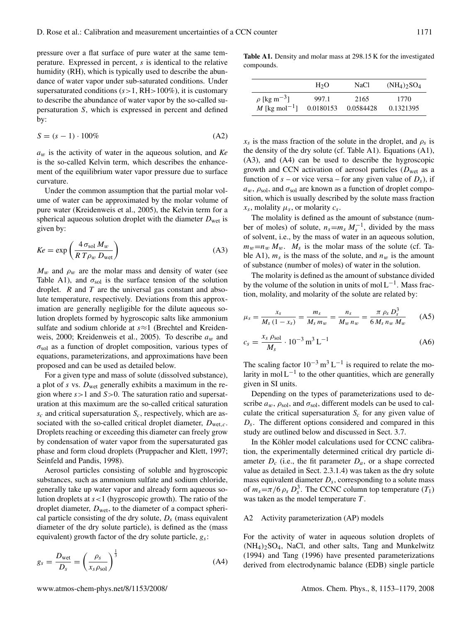pressure over a flat surface of pure water at the same temperature. Expressed in percent, s is identical to the relative humidity (RH), which is typically used to describe the abundance of water vapor under sub-saturated conditions. Under supersaturated conditions  $(s>1, RH>100\%)$ , it is customary to describe the abundance of water vapor by the so-called supersaturation S, which is expressed in percent and defined by:

$$
S = (s - 1) \cdot 100\%
$$
 (A2)

 $a_w$  is the activity of water in the aqueous solution, and  $Ke$ is the so-called Kelvin term, which describes the enhancement of the equilibrium water vapor pressure due to surface curvature.

Under the common assumption that the partial molar volume of water can be approximated by the molar volume of pure water (Kreidenweis et al., 2005), the Kelvin term for a spherical aqueous solution droplet with the diameter  $D_{\text{wet}}$  is given by:

$$
Ke = \exp\left(\frac{4\,\sigma_{\text{sol}}\,M_w}{R\,T\rho_w\,D_{\text{wet}}}\right) \tag{A3}
$$

 $M_w$  and  $\rho_w$  are the molar mass and density of water (see Table A1), and  $\sigma_{sol}$  is the surface tension of the solution droplet.  $R$  and  $T$  are the universal gas constant and absolute temperature, respectively. Deviations from this approximation are generally negligible for the dilute aqueous solution droplets formed by hygroscopic salts like ammonium sulfate and sodium chloride at s≈1 (Brechtel and Kreidenweis, 2000; Kreidenweis et al., 2005). To describe  $a_w$  and  $\sigma_{\text{sol}}$  as a function of droplet composition, various types of equations, parameterizations, and approximations have been proposed and can be used as detailed below.

For a given type and mass of solute (dissolved substance), a plot of s vs.  $D_{\text{wet}}$  generally exhibits a maximum in the region where  $s > 1$  and  $S > 0$ . The saturation ratio and supersaturation at this maximum are the so-called critical saturation  $s_c$  and critical supersaturation  $S_c$ , respectively, which are associated with the so-called critical droplet diameter,  $D_{\text{wet.}c}$ . Droplets reaching or exceeding this diameter can freely grow by condensation of water vapor from the supersaturated gas phase and form cloud droplets (Pruppacher and Klett, 1997; Seinfeld and Pandis, 1998).

Aerosol particles consisting of soluble and hygroscopic substances, such as ammonium sulfate and sodium chloride, generally take up water vapor and already form aqueous solution droplets at  $s < 1$  (hygroscopic growth). The ratio of the droplet diameter,  $D_{wet}$ , to the diameter of a compact spherical particle consisting of the dry solute,  $D_s$  (mass equivalent diameter of the dry solute particle), is defined as the (mass equivalent) growth factor of the dry solute particle,  $g_s$ :

$$
g_s = \frac{D_{\text{wet}}}{D_s} = \left(\frac{\rho_s}{x_s \rho_{\text{sol}}}\right)^{\frac{1}{3}}
$$
(A4)

**Table A1.** Density and molar mass at 298.15 K for the investigated compounds.

|                              | H <sub>2</sub> O | NaCl      | $(NH_4)$ <sub>2</sub> SO <sub>4</sub> |
|------------------------------|------------------|-----------|---------------------------------------|
| $\rho$ [kg m <sup>-3</sup> ] | 997.1            | 2165      | 1770                                  |
| M [kg mol <sup>-1</sup> ]    | 0.0180153        | 0.0584428 | 0.1321395                             |

 $x_s$  is the mass fraction of the solute in the droplet, and  $\rho_s$  is the density of the dry solute (cf. Table A1). Equations (A1), (A3), and (A4) can be used to describe the hygroscopic growth and CCN activation of aerosol particles ( $D<sub>wet</sub>$  as a function of  $s$  – or vice versa – for any given value of  $D_s$ ), if  $a_w$ ,  $\rho_{sol}$ , and  $\sigma_{sol}$  are known as a function of droplet composition, which is usually described by the solute mass fraction  $x_s$ , molality  $\mu_s$ , or molarity  $c_s$ .

The molality is defined as the amount of substance (number of moles) of solute,  $n_s = m_s M_s^{-1}$ , divided by the mass of solvent, i.e., by the mass of water in an aqueous solution,  $m_w=n_w M_w$ .  $M_s$  is the molar mass of the solute (cf. Table A1),  $m_s$  is the mass of the solute, and  $n_w$  is the amount of substance (number of moles) of water in the solution.

The molarity is defined as the amount of substance divided by the volume of the solution in units of mol  $L^{-1}$ . Mass fraction, molality, and molarity of the solute are related by:

$$
\mu_s = \frac{x_s}{M_s (1 - x_s)} = \frac{m_s}{M_s m_w} = \frac{n_s}{M_w n_w} = \frac{\pi \rho_s D_s^3}{6 M_s n_w M_w} \tag{A5}
$$

$$
c_s = \frac{x_s \rho_{sol}}{M_s} \cdot 10^{-3} \,\mathrm{m}^3 \,\mathrm{L}^{-1} \tag{A6}
$$

The scaling factor  $10^{-3}$  m<sup>3</sup> L<sup>-1</sup> is required to relate the molarity in mol  $L^{-1}$  to the other quantities, which are generally given in SI units.

Depending on the types of parameterizations used to describe  $a_w$ ,  $\rho_{sol}$ , and  $\sigma_{sol}$ , different models can be used to calculate the critical supersaturation  $S_c$  for any given value of  $D_s$ . The different options considered and compared in this study are outlined below and discussed in Sect. 3.7.

In the Köhler model calculations used for CCNC calibration, the experimentally determined critical dry particle diameter  $D_c$  (i.e., the fit parameter  $D_a$ , or a shape corrected value as detailed in Sect. 2.3.1.4) was taken as the dry solute mass equivalent diameter  $D_s$ , corresponding to a solute mass of  $m_s = \pi/6 \rho_s D_s^3$ . The CCNC column top temperature  $(T_1)$ was taken as the model temperature  $T$ .

#### A2 Activity parameterization (AP) models

For the activity of water in aqueous solution droplets of  $(NH_4)$ <sub>2</sub>SO<sub>4</sub>, NaCl, and other salts, Tang and Munkelwitz (1994) and Tang (1996) have presented parameterizations derived from electrodynamic balance (EDB) single particle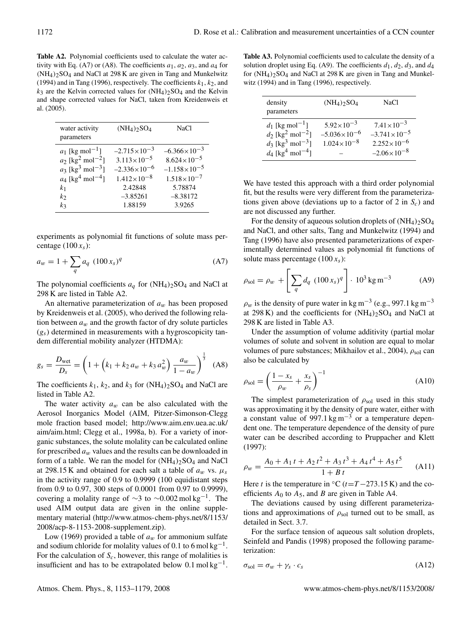**Table A2.** Polynomial coefficients used to calculate the water activity with Eq. (A7) or (A8). The coefficients  $a_1, a_2, a_3$ , and  $a_4$  for  $(NH_4)_2SO_4$  and NaCl at 298 K are given in Tang and Munkelwitz (1994) and in Tang (1996), respectively. The coefficients  $k_1, k_2$ , and  $k_3$  are the Kelvin corrected values for  $(NH_4)_2SO_4$  and the Kelvin and shape corrected values for NaCl, taken from Kreidenweis et al. (2005).

| water activity<br>parameters               | $(NH_4)$ <sub>2</sub> SO <sub>4</sub> | <b>NaCl</b>             |
|--------------------------------------------|---------------------------------------|-------------------------|
| $a_1$ [kg mol <sup>-1</sup> ]              | $-2.715 \times 10^{-3}$               | $-6.366 \times 10^{-3}$ |
| $a_2$ [kg <sup>2</sup> mol <sup>-2</sup> ] | $3.113 \times 10^{-5}$                | $8.624\times10^{-5}$    |
| $a_3$ [kg <sup>3</sup> mol <sup>-3</sup> ] | $-2.336 \times 10^{-6}$               | $-1.158\times10^{-5}$   |
| $a_4$ [kg <sup>4</sup> mol <sup>-4</sup> ] | $1.412\times10^{-8}$                  | $1.518\times10^{-7}$    |
| k <sub>1</sub>                             | 2.42848                               | 5.78874                 |
| k <sub>2</sub>                             | $-3.85261$                            | $-8.38172$              |
| kз                                         | 1.88159                               | 3.9265                  |
|                                            |                                       |                         |

experiments as polynomial fit functions of solute mass percentage  $(100 x<sub>s</sub>)$ :

$$
a_w = 1 + \sum_{q} a_q \ (100 \, x_s)^q \tag{A7}
$$

The polynomial coefficients  $a_q$  for  $(NH_4)_2SO_4$  and NaCl at 298 K are listed in Table A2.

An alternative parameterization of  $a_w$  has been proposed by Kreidenweis et al. (2005), who derived the following relation between  $a_w$  and the growth factor of dry solute particles  $(g<sub>s</sub>)$  determined in measurements with a hygroscopicity tandem differential mobility analyzer (HTDMA):

$$
g_s = \frac{D_{\text{wet}}}{D_s} = \left(1 + \left(k_1 + k_2 a_w + k_3 a_w^2\right) \frac{a_w}{1 - a_w}\right)^{\frac{1}{3}} \tag{A8}
$$

The coefficients  $k_1$ ,  $k_2$ , and  $k_3$  for  $(NH_4)_2SO_4$  and NaCl are listed in Table A2.

The water activity  $a_w$  can be also calculated with the Aerosol Inorganics Model (AIM, Pitzer-Simonson-Clegg mole fraction based model; http://www.aim.env.uea.ac.uk/ aim/aim.html; Clegg et al., 1998a, b). For a variety of inorganic substances, the solute molality can be calculated online for prescribed  $a_w$  values and the results can be downloaded in form of a table. We ran the model for  $(NH_4)_2SO_4$  and NaCl at 298.15 K and obtained for each salt a table of  $a_w$  vs.  $\mu_s$ in the activity range of 0.9 to 0.9999 (100 equidistant steps from 0.9 to 0.97, 300 steps of 0.0001 from 0.97 to 0.9999), covering a molality range of  $\sim$ 3 to  $\sim$ 0.002 mol kg<sup>-1</sup>. The used AIM output data are given in the online supplementary material (http://www.atmos-chem-phys.net/8/1153/ 2008/acp-8-1153-2008-supplement.zip).

Low (1969) provided a table of  $a_w$  for ammonium sulfate and sodium chloride for molality values of 0.1 to 6 mol  $kg^{-1}$ . For the calculation of  $S_c$ , however, this range of molalities is insufficient and has to be extrapolated below  $0.1 \text{ mol kg}^{-1}$ .

**Table A3.** Polynomial coefficients used to calculate the density of a solution droplet using Eq. (A9). The coefficients  $d_1, d_2, d_3$ , and  $d_4$ for  $(NH_4)_2SO_4$  and NaCl at 298 K are given in Tang and Munkelwitz (1994) and in Tang (1996), respectively.

| density<br>parameters                                                                                                                                                   | $(NH_4)$ <sub>2</sub> SO <sub>4</sub>                                    | NaCl                                                                                               |
|-------------------------------------------------------------------------------------------------------------------------------------------------------------------------|--------------------------------------------------------------------------|----------------------------------------------------------------------------------------------------|
| $d_1$ [kg mol <sup>-1</sup> ]<br>$d_2$ [kg <sup>2</sup> mol <sup>-2</sup> ]<br>$d_3$ [kg <sup>3</sup> mol <sup>-3</sup> ]<br>$d_4$ [kg <sup>4</sup> mol <sup>-4</sup> ] | $5.92 \times 10^{-3}$<br>$-5.036 \times 10^{-6}$<br>$1.024\times10^{-8}$ | $7.41 \times 10^{-3}$<br>$-3.741 \times 10^{-5}$<br>$2.252\times10^{-6}$<br>$-2.06 \times 10^{-8}$ |

We have tested this approach with a third order polynomial fit, but the results were very different from the parameterizations given above (deviations up to a factor of 2 in  $S_c$ ) and are not discussed any further.

For the density of aqueous solution droplets of  $(NH_4)_2SO_4$ and NaCl, and other salts, Tang and Munkelwitz (1994) and Tang (1996) have also presented parameterizations of experimentally determined values as polynomial fit functions of solute mass percentage  $(100 x<sub>s</sub>)$ :

$$
\rho_{sol} = \rho_w + \left[ \sum_q d_q \ (100 \, x_s)^q \right] \cdot 10^3 \, \text{kg m}^{-3} \tag{A9}
$$

 $\rho_w$  is the density of pure water in kg m<sup>-3</sup> (e.g., 997.1 kg m<sup>-3</sup> at 298 K) and the coefficients for  $(NH<sub>4</sub>)<sub>2</sub>SO<sub>4</sub>$  and NaCl at 298 K are listed in Table A3.

Under the assumption of volume additivity (partial molar volumes of solute and solvent in solution are equal to molar volumes of pure substances; Mikhailov et al., 2004),  $\rho_{sol}$  can also be calculated by

$$
\rho_{sol} = \left(\frac{1 - x_s}{\rho_w} + \frac{x_s}{\rho_s}\right)^{-1} \tag{A10}
$$

The simplest parameterization of  $\rho_{sol}$  used in this study was approximating it by the density of pure water, either with a constant value of 997.1 kg m<sup>-3</sup> or a temperature dependent one. The temperature dependence of the density of pure water can be described according to Pruppacher and Klett (1997):

$$
\rho_w = \frac{A_0 + A_1 t + A_2 t^2 + A_3 t^3 + A_4 t^4 + A_5 t^5}{1 + B t}
$$
 (A11)

Here t is the temperature in  $°C$  (t=T – 273.15 K) and the coefficients  $A_0$  to  $A_5$ , and B are given in Table A4.

The deviations caused by using different parameterizations and approximations of  $\rho_{sol}$  turned out to be small, as detailed in Sect. 3.7.

For the surface tension of aqueous salt solution droplets, Seinfeld and Pandis (1998) proposed the following parameterization:

$$
\sigma_{\text{sol}} = \sigma_w + \gamma_s \cdot c_s \tag{A12}
$$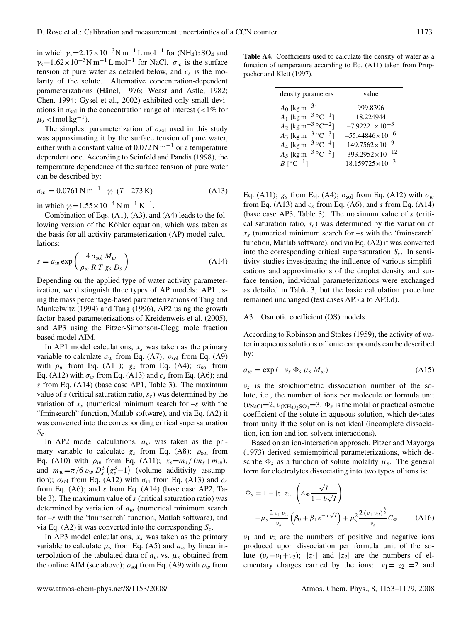in which  $\gamma_s = 2.17 \times 10^{-3} \text{N m}^{-1} \text{ L mol}^{-1}$  for  $(\text{NH}_4)_2\text{SO}_4$  and  $\gamma_s$ =1.62×10<sup>-3</sup>N m<sup>-1</sup> L mol<sup>-1</sup> for NaCl.  $\sigma_w$  is the surface tension of pure water as detailed below, and  $c_s$  is the molarity of the solute. Alternative concentration-dependent parameterizations (Hänel, 1976; Weast and Astle, 1982; Chen, 1994; Gysel et al., 2002) exhibited only small deviations in  $\sigma_{sol}$  in the concentration range of interest (<1% for  $\mu_s$ <1mol kg<sup>-1</sup>).

The simplest parameterization of  $\sigma_{\text{sol}}$  used in this study was approximating it by the surface tension of pure water, either with a constant value of  $0.072$  N m<sup>-1</sup> or a temperature dependent one. According to Seinfeld and Pandis (1998), the temperature dependence of the surface tension of pure water can be described by:

$$
\sigma_w = 0.0761 \,\mathrm{N} \,\mathrm{m}^{-1} - \gamma_t \,\left(T - 273 \,\mathrm{K}\right) \tag{A13}
$$

in which  $\gamma_t = 1.55 \times 10^{-4} \text{ N m}^{-1} \text{ K}^{-1}$ .

Combination of Eqs. (A1), (A3), and (A4) leads to the following version of the Köhler equation, which was taken as the basis for all activity parameterization (AP) model calculations:

$$
s = a_w \exp\left(\frac{4 \sigma_{sol} M_w}{\rho_w R T g_s D_s}\right)
$$
 (A14)

Depending on the applied type of water activity parameterization, we distinguish three types of AP models: AP1 using the mass percentage-based parameterizations of Tang and Munkelwitz (1994) and Tang (1996), AP2 using the growth factor-based parameterizations of Kreidenweis et al. (2005), and AP3 using the Pitzer-Simonson-Clegg mole fraction based model AIM.

In AP1 model calculations,  $x_s$  was taken as the primary variable to calculate  $a_w$  from Eq. (A7);  $\rho_{sol}$  from Eq. (A9) with  $\rho_w$  from Eq. (A11);  $g_s$  from Eq. (A4);  $\sigma_{sol}$  from Eq. (A12) with  $\sigma_w$  from Eq. (A13) and  $c_s$  from Eq. (A6); and s from Eq. (A14) (base case AP1, Table 3). The maximum value of s (critical saturation ratio,  $s_c$ ) was determined by the variation of  $x_s$  (numerical minimum search for  $-s$  with the "fminsearch" function, Matlab software), and via Eq. (A2) it was converted into the corresponding critical supersaturation  $S_c$ .

In AP2 model calculations,  $a_w$  was taken as the primary variable to calculate  $g_s$  from Eq. (A8);  $\rho_{sol}$  from Eq. (A10) with  $\rho_w$  from Eq. (A11);  $x_s = m_s / (m_s + m_w)$ , and  $m_w = \pi/6 \rho_w D_s^3 (g_s^3 - 1)$  (volume additivity assumption);  $\sigma_{sol}$  from Eq. (A12) with  $\sigma_w$  from Eq. (A13) and  $c_s$ from Eq. (A6); and s from Eq. (A14) (base case AP2, Table 3). The maximum value of  $s$  (critical saturation ratio) was determined by variation of  $a_w$  (numerical minimum search for –s with the 'fminsearch' function, Matlab software), and via Eq. (A2) it was converted into the corresponding  $S_c$ .

In AP3 model calculations,  $x_s$  was taken as the primary variable to calculate  $\mu_s$  from Eq. (A5) and  $a_w$  by linear interpolation of the tabulated data of  $a_w$  vs.  $\mu_s$  obtained from the online AIM (see above);  $\rho_{sol}$  from Eq. (A9) with  $\rho_w$  from

Table A4. Coefficients used to calculate the density of water as a function of temperature according to Eq. (A11) taken from Pruppacher and Klett (1997).

| density parameters                           | value                       |
|----------------------------------------------|-----------------------------|
| $A_0$ [kg m <sup>-3</sup> ]                  | 999.8396                    |
| $A_1$ [kg m <sup>-3</sup> °C <sup>-1</sup> ] | 18.224944                   |
| $A_2$ [kg m <sup>-3</sup> °C <sup>-2</sup> ] | $-7.92221\times10^{-3}$     |
| $A_3$ [kg m <sup>-3</sup> °C <sup>-3</sup> ] | $-55.44846 \times 10^{-6}$  |
| $A_4$ [kg m <sup>-3</sup> °C <sup>-4</sup> ] | $149.7562\times10^{-9}$     |
| $A_5$ [kg m <sup>-3</sup> °C <sup>-5</sup> ] | $-393.2952 \times 10^{-12}$ |
| $B \lceil^{\circ} C^{-1} \rceil$             | $18.159725\times10^{-3}$    |

Eq. (A11);  $g_s$  from Eq. (A4);  $\sigma_{sol}$  from Eq. (A12) with  $\sigma_w$ from Eq. (A13) and  $c_s$  from Eq. (A6); and s from Eq. (A14) (base case AP3, Table 3). The maximum value of s (critical saturation ratio,  $s_c$ ) was determined by the variation of  $x_s$  (numerical minimum search for  $-s$  with the 'fminsearch' function, Matlab software), and via Eq. (A2) it was converted into the corresponding critical supersaturation  $S_c$ . In sensitivity studies investigating the influence of various simplifications and approximations of the droplet density and surface tension, individual parameterizations were exchanged as detailed in Table 3, but the basic calculation procedure remained unchanged (test cases AP3.a to AP3.d).

#### A3 Osmotic coefficient (OS) models

According to Robinson and Stokes (1959), the activity of water in aqueous solutions of ionic compounds can be described by:

$$
a_w = \exp(-\nu_s \Phi_s \mu_s M_w) \tag{A15}
$$

 $v_s$  is the stoichiometric dissociation number of the solute, i.e., the number of ions per molecule or formula unit  $(v_{\text{NaCl}}=2, v_{\text{(NH}_4)_2\text{SO}_4}=3.$   $\Phi_s$  is the molal or practical osmotic coefficient of the solute in aqueous solution, which deviates from unity if the solution is not ideal (incomplete dissociation, ion-ion and ion-solvent interactions).

Based on an ion-interaction approach, Pitzer and Mayorga (1973) derived semiempirical parameterizations, which describe  $\Phi_s$  as a function of solute molality  $\mu_s$ . The general form for electrolytes dissociating into two types of ions is:

$$
\Phi_{s} = 1 - |z_{1} z_{2}| \left( A_{\Phi} \frac{\sqrt{I}}{1 + b\sqrt{I}} \right)
$$
  
+  $\mu_{s} \frac{2 v_{1} v_{2}}{v_{s}} \left( \beta_{0} + \beta_{1} e^{-\alpha \sqrt{I}} \right) + \mu_{s}^{2} \frac{2 (v_{1} v_{2})^{\frac{3}{2}}}{v_{s}} C_{\Phi}$  (A16)

 $v_1$  and  $v_2$  are the numbers of positive and negative ions produced upon dissociation per formula unit of the solute  $(v_s = v_1 + v_2)$ ; |z<sub>1</sub>| and |z<sub>2</sub>| are the numbers of elementary charges carried by the ions:  $v_1 = |z_2| = 2$  and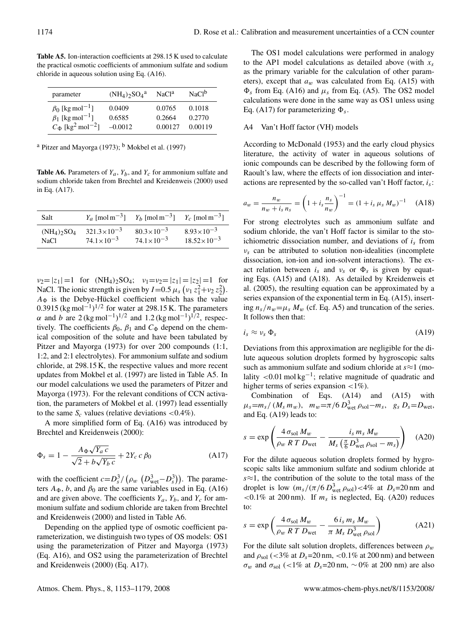**Table A5.** Ion-interaction coefficients at 298.15 K used to calculate the practical osmotic coefficients of ammonium sulfate and sodium chloride in aqueous solution using Eq. (A16).

| parameter                                       | $(NH_4)$ <sub>2</sub> SO <sub>4</sub> <sup>a</sup> | NaCl <sup>a</sup> | NaCl <sup>b</sup> |
|-------------------------------------------------|----------------------------------------------------|-------------------|-------------------|
| $\beta_0$ [kg mol <sup>-1</sup> ]               | 0.0409                                             | 0.0765            | 0.1018            |
| $\beta_1$ [kg mol <sup>-1</sup> ]               | 0.6585                                             | 0.2664            | 0.2770            |
| $C_{\Phi}$ [kg <sup>2</sup> mol <sup>-2</sup> ] | $-0.0012$                                          | 0.00127           | 0.00119           |

<sup>a</sup> Pitzer and Mayorga (1973); <sup>b</sup> Mokbel et al. (1997)

**Table A6.** Parameters of  $Y_a$ ,  $Y_b$ , and  $Y_c$  for ammonium sulfate and sodium chloride taken from Brechtel and Kreidenweis (2000) used in Eq. (A17).

| Salt                                  |                        | $Y_a$ [mol m <sup>-3</sup> ] $Y_b$ [mol m <sup>-3</sup> ] $Y_c$ [mol m <sup>-3</sup> ] |                        |
|---------------------------------------|------------------------|----------------------------------------------------------------------------------------|------------------------|
| $(NH_4)$ <sub>2</sub> SO <sub>4</sub> | $321.3 \times 10^{-3}$ | $80.3 \times 10^{-3}$                                                                  | $8.93 \times 10^{-3}$  |
| NaCl.                                 | $74.1 \times 10^{-3}$  | $74.1 \times 10^{-3}$                                                                  | $18.52 \times 10^{-3}$ |

 $v_2=|z_1|=1$  for  $(NH_4)_2SO_4$ ;  $v_1=v_2=|z_1|=|z_2|=1$  for NaCl. The ionic strength is given by  $I=0.5 \mu_s \left(v_1 z_1^2+v_2 z_2^2\right)$ .  $A_{\Phi}$  is the Debye-Hückel coefficient which has the value 0.3915 (kg mol<sup>-1</sup>)<sup>1/2</sup> for water at 298.15 K. The parameters α and b are  $2$  (kg mol<sup>-1</sup>)<sup>1/2</sup> and 1.2 (kg mol<sup>-1</sup>)<sup>1/2</sup>, respectively. The coefficients  $\beta_0$ ,  $\beta_1$  and  $C_{\Phi}$  depend on the chemical composition of the solute and have been tabulated by Pitzer and Mayorga (1973) for over 200 compounds (1:1, 1:2, and 2:1 electrolytes). For ammonium sulfate and sodium chloride, at 298.15 K, the respective values and more recent updates from Mokbel et al. (1997) are listed in Table A5. In our model calculations we used the parameters of Pitzer and Mayorga (1973). For the relevant conditions of CCN activation, the parameters of Mokbel et al. (1997) lead essentially to the same  $S_c$  values (relative deviations <0.4%).

A more simplified form of Eq. (A16) was introduced by Brechtel and Kreidenweis (2000):

$$
\Phi_s = 1 - \frac{A_\Phi \sqrt{Y_a c}}{\sqrt{2} + b \sqrt{Y_b c}} + 2Y_c c \beta_0
$$
\n(A17)

with the coefficient  $c = D_s^3 / (\rho_w \left(D_{\text{wet}}^3 - D_s^3\right))$ . The parameters  $A_{\Phi}$ , b, and  $\beta_0$  are the same variables used in Eq. (A16) and are given above. The coefficients  $Y_a$ ,  $Y_b$ , and  $Y_c$  for ammonium sulfate and sodium chloride are taken from Brechtel and Kreidenweis (2000) and listed in Table A6.

Depending on the applied type of osmotic coefficient parameterization, we distinguish two types of OS models: OS1 using the parameterization of Pitzer and Mayorga (1973) (Eq. A16), and OS2 using the parameterization of Brechtel and Kreidenweis (2000) (Eq. A17).

The OS1 model calculations were performed in analogy to the AP1 model calculations as detailed above (with  $x_s$ as the primary variable for the calculation of other parameters), except that  $a_w$  was calculated from Eq. (A15) with  $\Phi_s$  from Eq. (A16) and  $\mu_s$  from Eq. (A5). The OS2 model calculations were done in the same way as OS1 unless using Eq. (A17) for parameterizing  $\Phi_s$ .

## A4 Van't Hoff factor (VH) models

According to McDonald (1953) and the early cloud physics literature, the activity of water in aqueous solutions of ionic compounds can be described by the following form of Raoult's law, where the effects of ion dissociation and interactions are represented by the so-called van't Hoff factor,  $i_s$ :

$$
a_w = \frac{n_w}{n_w + i_s n_s} = \left(1 + i_s \frac{n_s}{n_w}\right)^{-1} = \left(1 + i_s \mu_s M_w\right)^{-1} \quad \text{(A18)}
$$

For strong electrolytes such as ammonium sulfate and sodium chloride, the van't Hoff factor is similar to the stoichiometric dissociation number, and deviations of  $i_s$  from  $v_s$  can be attributed to solution non-idealities (incomplete dissociation, ion-ion and ion-solvent interactions). The exact relation between  $i_s$  and  $v_s$  or  $\Phi_s$  is given by equating Eqs. (A15) and (A18). As detailed by Kreidenweis et al. (2005), the resulting equation can be approximated by a series expansion of the exponential term in Eq. (A15), inserting  $n_s/n_w=\mu_s M_w$  (cf. Eq. A5) and truncation of the series. It follows then that:

$$
i_s \approx \nu_s \, \Phi_s \tag{A19}
$$

Deviations from this approximation are negligible for the dilute aqueous solution droplets formed by hygroscopic salts such as ammonium sulfate and sodium chloride at  $s \approx 1$  (molality <0.01 mol kg<sup>-1</sup>; relative magnitude of quadratic and higher terms of series expansion  $\langle 1\% \rangle$ .

Combination of Eqs. (A14) and (A15) with  $\mu_s = m_s / (M_s m_w)$ ,  $m_w = \pi / 6 D_{\text{wet}}^3 \rho_{\text{sol}} - m_s$ ,  $g_s D_s = D_{\text{wet}}$ and Eq. (A19) leads to:

$$
s = \exp\left(\frac{4\,\sigma_{\text{sol}}\,M_w}{\rho_w\,R\,T\,D_{\text{wet}}} - \frac{i_s\,m_s\,M_w}{M_s\left(\frac{\pi}{6}\,D_{\text{wet}}^3\,\rho_{\text{sol}} - m_s\right)}\right) \quad \text{(A20)}
$$

For the dilute aqueous solution droplets formed by hygroscopic salts like ammonium sulfate and sodium chloride at s≈1, the contribution of the solute to the total mass of the droplet is low  $(m_s/(\pi/6 D_{\text{wet}}^3 \rho_{\text{sol}}) < 4\%$  at  $D_s = 20 \text{ nm}$  and  $\lt$ 0.1% at 200 nm). If  $m<sub>s</sub>$  is neglected, Eq. (A20) reduces to:

$$
s = \exp\left(\frac{4\,\sigma_{\text{sol}}\,M_w}{\rho_w\,R\,T\,D_{\text{wet}}} - \frac{6\,i_s\,m_s\,M_w}{\pi\,M_s\,D_{\text{wet}}^3\,\rho_{\text{sol}}}\right) \tag{A21}
$$

For the dilute salt solution droplets, differences between  $\rho_w$ and  $\rho_{sol}$  (<3% at  $D_s$ =20 nm, <0.1% at 200 nm) and between  $σ<sub>w</sub>$  and  $σ<sub>sol</sub>$  (<1% at  $D<sub>s</sub>=20$  nm,  $∼0%$  at 200 nm) are also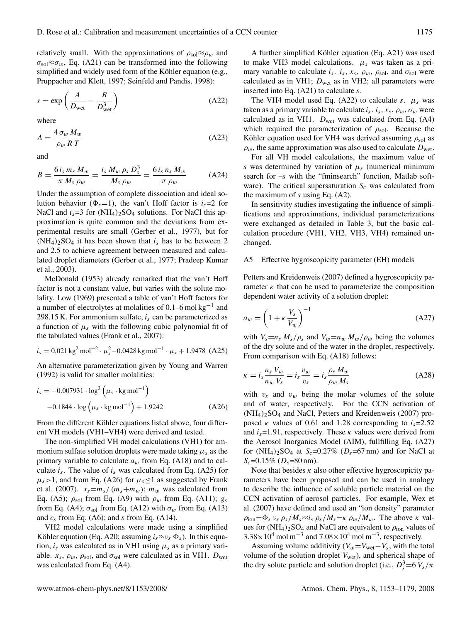relatively small. With the approximations of  $\rho_{sol} \approx \rho_w$  and  $\sigma_{\text{sol}} \approx \sigma_w$ , Eq. (A21) can be transformed into the following simplified and widely used form of the Köhler equation (e.g., Pruppacher and Klett, 1997; Seinfeld and Pandis, 1998):

$$
s = \exp\left(\frac{A}{D_{\text{wet}}} - \frac{B}{D_{\text{wet}}^3}\right) \tag{A22}
$$

where

$$
A = \frac{4\,\sigma_w\,M_w}{\rho_w\,R\,T} \tag{A23}
$$

and

$$
B = \frac{6 i_s m_s M_w}{\pi M_s \rho_w} = \frac{i_s M_w \rho_s D_s^3}{M_s \rho_w} = \frac{6 i_s n_s M_w}{\pi \rho_w}
$$
 (A24)

Under the assumption of complete dissociation and ideal solution behavior ( $\Phi_s$ =1), the van't Hoff factor is  $i_s$ =2 for NaCl and  $i_s$ =3 for  $(NH_4)_2SO_4$  solutions. For NaCl this approximation is quite common and the deviations from experimental results are small (Gerber et al., 1977), but for  $(NH_4)$ <sub>2</sub>SO<sub>4</sub> it has been shown that  $i_s$  has to be between 2 and 2.5 to achieve agreement between measured and calculated droplet diameters (Gerber et al., 1977; Pradeep Kumar et al., 2003).

McDonald (1953) already remarked that the van't Hoff factor is not a constant value, but varies with the solute molality. Low (1969) presented a table of van't Hoff factors for a number of electrolytes at molalities of 0.1–6 mol kg<sup>-1</sup> and 298.15 K. For ammonium sulfate,  $i_s$  can be parameterized as a function of  $\mu_s$  with the following cubic polynomial fit of the tabulated values (Frank et al., 2007):

$$
i_s = 0.021 \text{ kg}^2 \text{ mol}^{-2} \cdot \mu_s^2 - 0.0428 \text{ kg mol}^{-1} \cdot \mu_s + 1.9478 \text{ (A25)}
$$

An alternative parameterization given by Young and Warren (1992) is valid for smaller molalities:

$$
i_s = -0.007931 \cdot \log^2 \left( \mu_s \cdot \text{kg mol}^{-1} \right)
$$
  
-0.1844 \cdot \log \left( \mu\_s \cdot \text{kg mol}^{-1} \right) + 1.9242 (A26)

From the different Köhler equations listed above, four different VH models (VH1–VH4) were derived and tested.

The non-simplified VH model calculations (VH1) for ammonium sulfate solution droplets were made taking  $\mu_s$  as the primary variable to calculate  $a_w$  from Eq. (A18) and to calculate  $i_s$ . The value of  $i_s$  was calculated from Eq. (A25) for  $\mu_s$  > 1, and from Eq. (A26) for  $\mu_s$   $\leq$  1 as suggested by Frank et al. (2007).  $x_s = m_s / (m_s + m_w)$ ;  $m_w$  was calculated from Eq. (A5);  $\rho_{sol}$  from Eq. (A9) with  $\rho_w$  from Eq. (A11);  $g_s$ from Eq. (A4);  $\sigma_{sol}$  from Eq. (A12) with  $\sigma_w$  from Eq. (A13) and  $c_s$  from Eq. (A6); and s from Eq. (A14).

VH2 model calculations were made using a simplified Köhler equation (Eq. A20; assuming  $i_s \approx v_s \Phi_s$ ). In this equation,  $i_s$  was calculated as in VH1 using  $\mu_s$  as a primary variable.  $x_s$ ,  $\rho_w$ ,  $\rho_{sol}$ , and  $\sigma_{sol}$  were calculated as in VH1.  $D_{wet}$ was calculated from Eq. (A4).

A further simplified Köhler equation (Eq. A21) was used to make VH3 model calculations.  $\mu_s$  was taken as a primary variable to calculate  $i_s$ .  $i_s$ ,  $x_s$ ,  $\rho_w$ ,  $\rho_{sol}$ , and  $\sigma_{sol}$  were calculated as in VH1;  $D_{wet}$  as in VH2; all parameters were inserted into Eq. (A21) to calculate s.

The VH4 model used Eq. (A22) to calculate s.  $\mu_s$  was taken as a primary variable to calculate  $i_s$ .  $i_s$ ,  $x_s$ ,  $\rho_w$ ,  $\sigma_w$  were calculated as in VH1.  $D_{wet}$  was calculated from Eq. (A4) which required the parameterization of  $\rho_{sol}$ . Because the Köhler equation used for VH4 was derived assuming  $\rho_{sol}$  as  $\rho_w$ , the same approximation was also used to calculate  $D_{\text{wet}}$ .

For all VH model calculations, the maximum value of s was determined by variation of  $\mu_s$  (numerical minimum search for  $-s$  with the "fminsearch" function, Matlab software). The critical supersaturation  $S_c$  was calculated from the maximum of  $s$  using Eq.  $(A2)$ .

In sensitivity studies investigating the influence of simplifications and approximations, individual parameterizations were exchanged as detailed in Table 3, but the basic calculation procedure (VH1, VH2, VH3, VH4) remained unchanged.

# A5 Effective hygroscopicity parameter (EH) models

Petters and Kreidenweis (2007) defined a hygroscopicity parameter  $\kappa$  that can be used to parameterize the composition dependent water activity of a solution droplet:

$$
a_w = \left(1 + \kappa \frac{V_s}{V_w}\right)^{-1} \tag{A27}
$$

with  $V_s=n_s M_s/\rho_s$  and  $V_w=n_w M_w/\rho_w$  being the volumes of the dry solute and of the water in the droplet, respectively. From comparison with Eq. (A18) follows:

$$
\kappa = i_s \frac{n_s V_w}{n_w V_s} = i_s \frac{v_w}{v_s} = i_s \frac{\rho_s M_w}{\rho_w M_s}
$$
(A28)

with  $v_s$  and  $v_w$  being the molar volumes of the solute and of water, respectively. For the CCN activation of  $(NH_4)_2SO_4$  and NaCl, Petters and Kreidenweis (2007) proposed κ values of 0.61 and 1.28 corresponding to  $i_s$ =2.52 and  $i_s$ =1.91, respectively. These  $\kappa$  values were derived from the Aerosol Inorganics Model (AIM), fullfilling Eq. (A27) for  $(NH_4)_2SO_4$  at  $S_c=0.27\%$   $(D_s=67 \text{ nm})$  and for NaCl at  $S_c$ =0.15% ( $D_s$ =80 nm).

Note that besides  $\kappa$  also other effective hygroscopicity parameters have been proposed and can be used in analogy to describe the influence of soluble particle material on the CCN activation of aerosol particles. For example, Wex et al. (2007) have defined and used an "ion density" parameter  $\rho_{\text{ion}} = \Phi_s v_s \rho_s / M_s \approx i_s \rho_s / M_s = \kappa \rho_w / M_w$ . The above  $\kappa$  values for  $(NH_4)_2SO_4$  and NaCl are equivalent to  $\rho_{ion}$  values of  $3.38 \times 10^4$  mol m<sup>-3</sup> and  $7.08 \times 10^4$  mol m<sup>-3</sup>, respectively.

Assuming volume additivity ( $V_w = V_{wet} - V_s$ , with the total volume of the solution droplet  $V_{wet}$ ), and spherical shape of the dry solute particle and solution droplet (i.e.,  $D_s^3 = 6 V_s / \pi$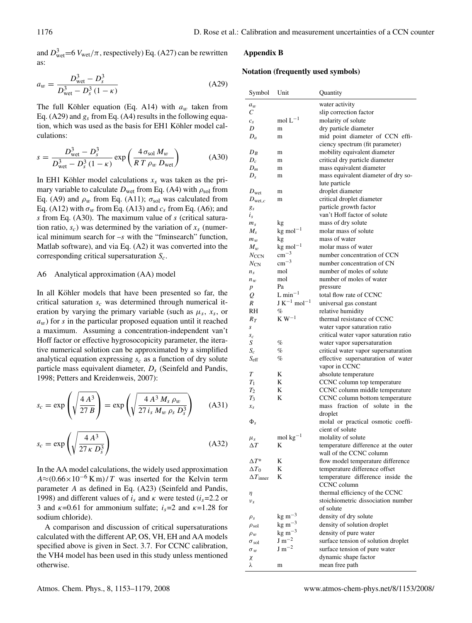and  $D_{\text{wet}}^3$  = 6  $V_{\text{wet}}/\pi$ , respectively) Eq. (A27) can be rewritten as:

$$
a_w = \frac{D_{\text{wet}}^3 - D_s^3}{D_{\text{wet}}^3 - D_s^3 (1 - \kappa)}
$$
(A29)

The full Köhler equation (Eq. A14) with  $a_w$  taken from Eq. (A29) and  $g_s$  from Eq. (A4) results in the following equation, which was used as the basis for EH1 Köhler model calculations:

$$
s = \frac{D_{\text{wet}}^3 - D_s^3}{D_{\text{wet}}^3 - D_s^3 (1 - \kappa)} \exp\left(\frac{4 \sigma_{\text{sol}} M_w}{RT \rho_w D_{\text{wet}}}\right)
$$
(A30)

In EH1 Köhler model calculations  $x_s$  was taken as the primary variable to calculate  $D_{wet}$  from Eq. (A4) with  $\rho_{sol}$  from Eq. (A9) and  $\rho_w$  from Eq. (A11);  $\sigma_{sol}$  was calculated from Eq. (A12) with  $\sigma_w$  from Eq. (A13) and  $c_s$  from Eq. (A6); and s from Eq. (A30). The maximum value of s (critical saturation ratio,  $s_c$ ) was determined by the variation of  $x_s$  (numerical minimum search for –s with the "fminsearch" function, Matlab software), and via Eq. (A2) it was converted into the corresponding critical supersaturation  $S_c$ .

#### A6 Analytical approximation (AA) model

In all Köhler models that have been presented so far, the critical saturation  $s_c$  was determined through numerical iteration by varying the primary variable (such as  $\mu_s$ ,  $x_s$ , or  $a_w$ ) for s in the particular proposed equation until it reached a maximum. Assuming a concentration-independent van't Hoff factor or effective hygrosocopicity parameter, the iterative numerical solution can be approximated by a simplified analytical equation expressing  $s_c$  as a function of dry solute particle mass equivalent diameter,  $D<sub>s</sub>$  (Seinfeld and Pandis, 1998; Petters and Kreidenweis, 2007):

$$
s_c = \exp\left(\sqrt{\frac{4 A^3}{27 B}}\right) = \exp\left(\sqrt{\frac{4 A^3 M_s \rho_w}{27 i_s M_w \rho_s D_s^3}}\right) \tag{A31}
$$

$$
s_c = \exp\left(\sqrt{\frac{4 A^3}{27 \kappa D_s^3}}\right) \tag{A32}
$$

In the AA model calculations, the widely used approximation  $A\approx (0.66\times10^{-6} \text{ K m})/T$  was inserted for the Kelvin term parameter A as defined in Eq. (A23) (Seinfeld and Pandis, 1998) and different values of  $i_s$  and  $\kappa$  were tested ( $i_s$ =2.2 or 3 and  $\kappa$ =0.61 for ammonium sulfate;  $i_s$ =2 and  $\kappa$ =1.28 for sodium chloride).

A comparison and discussion of critical supersaturations calculated with the different AP, OS, VH, EH and AA models specified above is given in Sect. 3.7. For CCNC calibration, the VH4 model has been used in this study unless mentioned otherwise.

## **Appendix B**

#### **Notation (frequently used symbols)**

| Symbol                 | Unit                         | Quantity                                         |
|------------------------|------------------------------|--------------------------------------------------|
| $a_w$                  |                              | water activity                                   |
| C                      |                              | slip correction factor                           |
| $c_{s}$                | $mol L^{-1}$                 | molarity of solute                               |
| D                      | m                            | dry particle diameter                            |
| $D_a$                  | m                            | mid point diameter of CCN effi-                  |
|                        |                              | ciency spectrum (fit parameter)                  |
| $D_B$                  | m                            | mobility equivalent diameter                     |
| $D_c$                  | m                            | critical dry particle diameter                   |
| $D_m$                  | m                            | mass equivalent diameter                         |
| $D_{s}$                | m                            | mass equivalent diameter of dry so-              |
|                        |                              | lute particle                                    |
| $D_{\text{wet}}$       | m                            | droplet diameter                                 |
| $D_{\text{wet},c}$     | m                            | critical droplet diameter                        |
| gs                     |                              | particle growth factor                           |
| $i_s$                  |                              | van't Hoff factor of solute                      |
| m <sub>s</sub>         | kg                           | mass of dry solute                               |
| $M_{\rm s}$            | $kg$ mol <sup>-1</sup>       | molar mass of solute                             |
| $m_{w}$                | kg                           | mass of water                                    |
| $M_w$                  | $kg$ mol <sup>-1</sup>       | molar mass of water                              |
| $N_{\text{CCN}}$       | $\rm cm^{-3}$                | number concentration of CCN                      |
| $N_{\rm CN}$           | $\rm cm^{-3}$                | number concentration of CN                       |
| $n_{\rm s}$            | mol                          | number of moles of solute                        |
| $n_w$                  | mol                          | number of moles of water                         |
| $\boldsymbol{p}$       | Pa                           | pressure                                         |
| Q                      | $L \text{ min}^{-1}$         | total flow rate of CCNC                          |
| R                      | $J K^{-1}$ mol <sup>-1</sup> | universal gas constant                           |
| RH                     | %                            | relative humidity                                |
| $R_T$                  | $\rm K~W^{-1}$               | thermal resistance of CCNC                       |
| S                      |                              | water vapor saturation ratio                     |
| $s_c$                  |                              | critical water vapor saturation ratio            |
| S                      | %                            | water vapor supersaturation                      |
| $S_c$                  | %                            | critical water vapor supersaturation             |
| $S_{\rm eff}$          | %                            | effective supersaturation of water               |
|                        |                              | vapor in CCNC                                    |
| T                      | K                            | absolute temperature                             |
| $T_1$                  | K                            | CCNC column top temperature                      |
| $T_2$                  | K                            | CCNC column middle temperature                   |
| $T_3$                  | K                            | CCNC column bottom temperature                   |
| $x_{s}$                |                              | mass fraction of solute in the                   |
|                        |                              | droplet                                          |
| $\Phi_{s}$             |                              | molal or practical osmotic coeffi-               |
|                        |                              | cient of solute                                  |
| $\mu_s$                | mol $kg^{-1}$                | molality of solute                               |
| $\Delta T$             | K                            | temperature difference at the outer              |
|                        |                              | wall of the CCNC column                          |
| $\Delta T^*$           | K                            | flow model temperature difference                |
| $\Delta T_0$           | K                            | temperature difference offset                    |
| $\Delta T_{\rm inner}$ | K                            | temperature difference inside the<br>CCNC column |
| η                      |                              | thermal efficiency of the CCNC                   |
| $v_s$                  |                              | stoichiometric dissociation number               |
|                        |                              | of solute                                        |
| $\rho_s$               | $kg \, \text{m}^{-3}$        | density of dry solute                            |
| $\rho_{\rm sol}$       | $kg \, \text{m}^{-3}$        | density of solution droplet                      |
| $\rho_w$               | $\text{kg m}^{-3}$           | density of pure water                            |
| $\sigma_{\text{sol}}$  | $J \, \text{m}^{-2}$         | surface tension of solution droplet              |
| $\sigma_w$             | $J \, \text{m}^{-2}$         | surface tension of pure water                    |
| χ                      |                              | dynamic shape factor                             |
| λ                      | m                            | mean free path                                   |
|                        |                              |                                                  |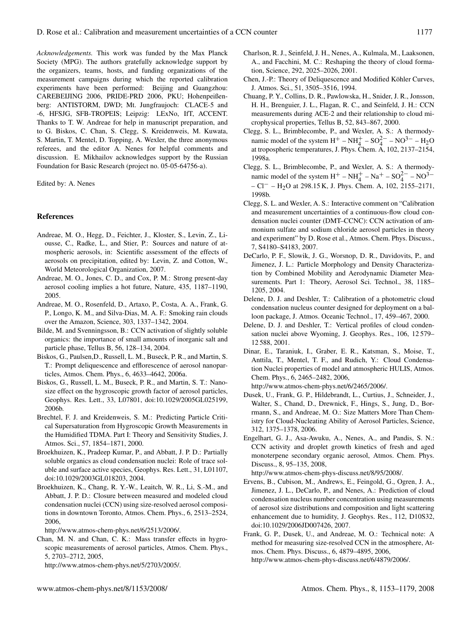*Acknowledgements.* This work was funded by the Max Planck Society (MPG). The authors gratefully acknowledge support by the organizers, teams, hosts, and funding organizations of the measurement campaigns during which the reported calibration experiments have been performed: Beijing and Guangzhou: CAREBEIJING 2006, PRIDE-PRD 2006, PKU; Hohenpeißenberg: ANTISTORM, DWD; Mt. Jungfraujoch: CLACE-5 and -6, HFSJG, SFB-TROPEIS; Leipzig: LExNo, IfT, ACCENT. Thanks to T. W. Andreae for help in manuscript preparation, and to G. Biskos, C. Chan, S. Clegg, S. Kreidenweis, M. Kuwata, S. Martin, T. Mentel, D. Topping, A. Wexler, the three anonymous referees, and the editor A. Nenes for helpful comments and discussion. E. Mikhailov acknowledges support by the Russian Foundation for Basic Research (project no. 05-05-64756-a).

Edited by: A. Nenes

## **References**

- Andreae, M. O., Hegg, D., Feichter, J., Kloster, S., Levin, Z., Liousse, C., Radke, L., and Stier, P.: Sources and nature of atmospheric aerosols, in: Scientific assessment of the effects of aerosols on precipitation, edited by: Levin, Z. and Cotton, W., World Meteorological Organization, 2007.
- Andreae, M. O., Jones, C. D., and Cox, P. M.: Strong present-day aerosol cooling implies a hot future, Nature, 435, 1187–1190, 2005.
- Andreae, M. O., Rosenfeld, D., Artaxo, P., Costa, A. A., Frank, G. P., Longo, K. M., and Silva-Dias, M. A. F.: Smoking rain clouds over the Amazon, Science, 303, 1337–1342, 2004.
- Bilde, M. and Svenningsson, B.: CCN activation of slightly soluble organics: the importance of small amounts of inorganic salt and particle phase, Tellus B, 56, 128–134, 2004.
- Biskos, G., Paulsen,D., Russell, L. M., Buseck, P. R., and Martin, S. T.: Prompt deliquescence and efflorescence of aerosol nanoparticles, Atmos. Chem. Phys., 6, 4633–4642, 2006a.
- Biskos, G., Russell, L. M., Buseck, P. R., and Martin, S. T.: Nanosize effect on the hygroscopic growth factor of aerosol particles, Geophys. Res. Lett., 33, L07801, doi:10.1029/2005GL025199, 2006b.
- Brechtel, F. J. and Kreidenweis, S. M.: Predicting Particle Critical Supersaturation from Hygroscopic Growth Measurements in the Humidified TDMA. Part I: Theory and Sensitivity Studies, J. Atmos. Sci., 57, 1854–1871, 2000.
- Broekhuizen, K., Pradeep Kumar, P., and Abbatt, J. P. D.: Partially soluble organics as cloud condensation nuclei: Role of trace soluble and surface active species, Geophys. Res. Lett., 31, L01107, doi:10.1029/2003GL018203, 2004.
- Broekhuizen, K., Chang, R. Y.-W., Leaitch, W. R., Li, S.-M., and Abbatt, J. P. D.: Closure between measured and modeled cloud condensation nuclei (CCN) using size-resolved aerosol compositions in downtown Toronto, Atmos. Chem. Phys., 6, 2513–2524, 2006,

http://www.atmos-chem-phys.net/6/2513/2006/.

Chan, M. N. and Chan, C. K.: Mass transfer effects in hygroscopic measurements of aerosol particles, Atmos. Chem. Phys., 5, 2703–2712, 2005,

http://www.atmos-chem-phys.net/5/2703/2005/.

- Charlson, R. J., Seinfeld, J. H., Nenes, A., Kulmala, M., Laaksonen, A., and Facchini, M. C.: Reshaping the theory of cloud formation, Science, 292, 2025–2026, 2001.
- Chen, J.-P.: Theory of Deliquescence and Modified Köhler Curves, J. Atmos. Sci., 51, 3505–3516, 1994.
- Chuang, P. Y., Collins, D. R., Pawlowska, H., Snider, J. R., Jonsson, H. H., Brenguier, J. L., Flagan, R. C., and Seinfeld, J. H.: CCN measurements during ACE-2 and their relationship to cloud microphysical properties, Tellus B, 52, 843–867, 2000.
- Clegg, S. L., Brimblecombe, P., and Wexler, A. S.: A thermodynamic model of the system  $H^+$  –  $NH_4^+$  –  $SO_4^{2-}$  –  $NO^{3-}$  –  $H_2O$ at tropospheric temperatures, J. Phys. Chem. A, 102, 2137–2154, 1998a.
- Clegg, S. L., Brimblecombe, P., and Wexler, A. S.: A thermodynamic model of the system  $H^+ - NH_4^+ - Na^+ - SO_4^{2-} - NO^{3-}$ – Cl− – H2O at 298.15 K, J. Phys. Chem. A, 102, 2155–2171, 1998b.
- Clegg, S. L. and Wexler, A. S.: Interactive comment on "Calibration and measurement uncertainties of a continuous-flow cloud condensation nuclei counter (DMT–CCNC): CCN activation of ammonium sulfate and sodium chloride aerosol particles in theory and experiment" by D. Rose et al., Atmos. Chem. Phys. Discuss., 7, S4180–S4183, 2007.
- DeCarlo, P. F., Slowik, J. G., Worsnop, D. R., Davidovits, P., and Jimenez, J. L.: Particle Morphology and Density Characterization by Combined Mobility and Aerodynamic Diameter Measurements. Part 1: Theory, Aerosol Sci. Technol., 38, 1185– 1205, 2004.
- Delene, D. J. and Deshler, T.: Calibration of a photometric cloud condensation nucleus counter designed for deployment on a balloon package, J. Atmos. Oceanic Technol., 17, 459–467, 2000.
- Delene, D. J. and Deshler, T.: Vertical profiles of cloud condensation nuclei above Wyoming, J. Geophys. Res., 106, 12 579– 12 588, 2001.
- Dinar, E., Taraniuk, I., Graber, E. R., Katsman, S., Moise, T., Anttila, T., Mentel, T. F., and Rudich, Y.: Cloud Condensation Nuclei properties of model and atmospheric HULIS, Atmos. Chem. Phys., 6, 2465–2482, 2006,

http://www.atmos-chem-phys.net/6/2465/2006/.

- Dusek, U., Frank, G. P., Hildebrandt, L., Curtius, J., Schneider, J., Walter, S., Chand, D., Drewnick, F., Hings, S., Jung, D., Borrmann, S., and Andreae, M. O.: Size Matters More Than Chemistry for Cloud-Nucleating Ability of Aerosol Particles, Science, 312, 1375–1378, 2006.
- Engelhart, G. J., Asa-Awuku, A., Nenes, A., and Pandis, S. N.: CCN activity and droplet growth kinetics of fresh and aged monoterpene secondary organic aerosol, Atmos. Chem. Phys. Discuss., 8, 95–135, 2008,

http://www.atmos-chem-phys-discuss.net/8/95/2008/.

- Ervens, B., Cubison, M., Andrews, E., Feingold, G., Ogren, J. A., Jimenez, J. L., DeCarlo, P., and Nenes, A.: Prediction of cloud condensation nucleus number concentration using measurements of aerosol size distributions and composition and light scattering enhancement due to humidity, J. Geophys. Res., 112, D10S32, doi:10.1029/2006JD007426, 2007.
- Frank, G. P., Dusek, U., and Andreae, M. O.: Technical note: A method for measuring size-resolved CCN in the atmosphere, Atmos. Chem. Phys. Discuss., 6, 4879–4895, 2006, http://www.atmos-chem-phys-discuss.net/6/4879/2006/.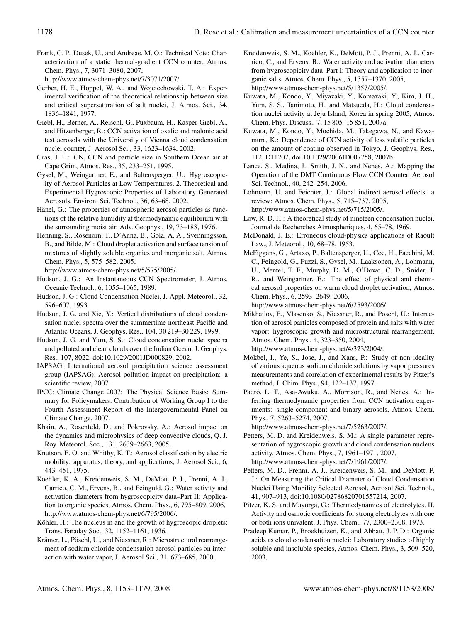Frank, G. P., Dusek, U., and Andreae, M. O.: Technical Note: Characterization of a static thermal-gradient CCN counter, Atmos. Chem. Phys., 7, 3071–3080, 2007,

http://www.atmos-chem-phys.net/7/3071/2007/.

- Gerber, H. E., Hoppel, W. A., and Wojciechowski, T. A.: Experimental verification of the theoretical relationship between size and critical supersaturation of salt nuclei, J. Atmos. Sci., 34, 1836–1841, 1977.
- Giebl, H., Berner, A., Reischl, G., Puxbaum, H., Kasper-Giebl, A., and Hitzenberger, R.: CCN activation of oxalic and malonic acid test aerosols with the University of Vienna cloud condensation nuclei counter, J. Aerosol Sci., 33, 1623–1634, 2002.
- Gras, J. L.: CN, CCN and particle size in Southern Ocean air at Cape Grim, Atmos. Res., 35, 233–251, 1995.
- Gysel, M., Weingartner, E., and Baltensperger, U.: Hygroscopicity of Aerosol Particles at Low Temperatures. 2. Theoretical and Experimental Hygroscopic Properties of Laboratory Generated Aerosols, Environ. Sci. Technol., 36, 63–68, 2002.
- Hänel, G.: The properties of atmospheric aerosol particles as functions of the relative humidity at thermodynamic equilibrium with the surrounding moist air, Adv. Geophys., 19, 73–188, 1976.
- Henning, S., Rosenorn, T., D'Anna, B., Gola, A. A., Svenningsson, B., and Bilde, M.: Cloud droplet activation and surface tension of mixtures of slightly soluble organics and inorganic salt, Atmos. Chem. Phys., 5, 575–582, 2005,

http://www.atmos-chem-phys.net/5/575/2005/.

- Hudson, J. G.: An Instantaneous CCN Spectrometer, J. Atmos. Oceanic Technol., 6, 1055–1065, 1989.
- Hudson, J. G.: Cloud Condensation Nuclei, J. Appl. Meteorol., 32, 596–607, 1993.
- Hudson, J. G. and Xie, Y.: Vertical distributions of cloud condensation nuclei spectra over the summertime northeast Pacific and Atlantic Oceans, J. Geophys. Res., 104, 30 219–30 229, 1999.
- Hudson, J. G. and Yum, S. S.: Cloud condensation nuclei spectra and polluted and clean clouds over the Indian Ocean, J. Geophys. Res., 107, 8022, doi:10.1029/2001JD000829, 2002.
- IAPSAG: International aerosol precipitation science assessment group (IAPSAG): Aerosol pollution impact on precipitation: a scientific review, 2007.
- IPCC: Climate Change 2007: The Physical Science Basis: Summary for Policymakers. Contribution of Working Group I to the Fourth Assessment Report of the Intergovernmental Panel on Climate Change, 2007.
- Khain, A., Rosenfeld, D., and Pokrovsky, A.: Aerosol impact on the dynamics and microphysics of deep convective clouds, Q. J. Roy. Meteorol. Soc., 131, 2639–2663, 2005.
- Knutson, E. O. and Whitby, K. T.: Aerosol classification by electric mobility: apparatus, theory, and applications, J. Aerosol Sci., 6, 443–451, 1975.
- Koehler, K. A., Kreidenweis, S. M., DeMott, P. J., Prenni, A. J., Carrico, C. M., Ervens, B., and Feingold, G.: Water activity and activation diameters from hygroscopicity data–Part II: Application to organic species, Atmos. Chem. Phys., 6, 795–809, 2006, http://www.atmos-chem-phys.net/6/795/2006/.
- Köhler, H.: The nucleus in and the growth of hygroscopic droplets: Trans. Faraday Soc., 32, 1152–1161, 1936.
- Krämer, L., Pöschl, U., and Niessner, R.: Microstructural rearrangement of sodium chloride condensation aerosol particles on interaction with water vapor, J. Aerosol Sci., 31, 673–685, 2000.
- Kreidenweis, S. M., Koehler, K., DeMott, P. J., Prenni, A. J., Carrico, C., and Ervens, B.: Water activity and activation diameters from hygroscopicity data–Part I: Theory and application to inorganic salts, Atmos. Chem. Phys., 5, 1357–1370, 2005, http://www.atmos-chem-phys.net/5/1357/2005/.
- Kuwata, M., Kondo, Y., Miyazaki, Y., Komazaki, Y., Kim, J. H., Yum, S. S., Tanimoto, H., and Matsueda, H.: Cloud condensation nuclei activity at Jeju Island, Korea in spring 2005, Atmos. Chem. Phys. Discuss., 7, 15 805–15 851, 2007a.
- Kuwata, M., Kondo, Y., Mochida, M., Takegawa, N., and Kawamura, K.: Dependence of CCN activity of less volatile particles on the amount of coating observed in Tokyo, J. Geophys. Res., 112, D11207, doi:10.1029/2006JD007758, 2007b.
- Lance, S., Medina, J., Smith, J. N., and Nenes, A.: Mapping the Operation of the DMT Continuous Flow CCN Counter, Aerosol Sci. Technol., 40, 242–254, 2006.
- Lohmann, U. and Feichter, J.: Global indirect aerosol effects: a review: Atmos. Chem. Phys., 5, 715–737, 2005, http://www.atmos-chem-phys.net/5/715/2005/.
- Low, R. D. H.: A theoretical study of nineteen condensation nuclei, Journal de Recherches Atmospheriques, 4, 65–78, 1969.
- McDonald, J. E.: Erroneous cloud-physics applications of Raoult Law., J. Meteorol., 10, 68–78, 1953.
- McFiggans, G., Artaxo, P., Baltensperger, U., Coe, H., Facchini, M. C., Feingold, G., Fuzzi, S., Gysel, M., Laaksonen, A., Lohmann, U., Mentel, T. F., Murphy, D. M., O'Dowd, C. D., Snider, J. R., and Weingartner, E.: The effect of physical and chemical aerosol properties on warm cloud droplet activation, Atmos. Chem. Phys., 6, 2593–2649, 2006,

http://www.atmos-chem-phys.net/6/2593/2006/.

Mikhailov, E., Vlasenko, S., Niessner, R., and Pöschl, U.: Interaction of aerosol particles composed of protein and salts with water vapor: hygroscopic growth and microstructural rearrangement, Atmos. Chem. Phys., 4, 323–350, 2004,

http://www.atmos-chem-phys.net/4/323/2004/.

- Mokbel, I., Ye, S., Jose, J., and Xans, P.: Study of non ideality of various aqueous sodium chloride solutions by vapor pressures measurements and correlation of experimental results by Pitzer's method, J. Chim. Phys., 94, 122–137, 1997.
- Padró, L. T., Asa-Awuku, A., Morrison, R., and Nenes, A.: Inferring thermodynamic properties from CCN activation experiments: single-component and binary aerosols, Atmos. Chem. Phys., 7, 5263–5274, 2007,

http://www.atmos-chem-phys.net/7/5263/2007/.

- Petters, M. D. and Kreidenweis, S. M.: A single parameter representation of hygroscopic growth and cloud condensation nucleus activity, Atmos. Chem. Phys., 7, 1961–1971, 2007, http://www.atmos-chem-phys.net/7/1961/2007/.
- Petters, M. D., Prenni, A. J., Kreidenweis, S. M., and DeMott, P. J.: On Measuring the Critical Diameter of Cloud Condensation Nuclei Using Mobility Selected Aerosol, Aerosol Sci. Technol., 41, 907–913, doi:10.1080/02786820701557214, 2007.
- Pitzer, K. S. and Mayorga, G.: Thermodynamics of electrolytes. II. Activity and osmotic coefficients for strong electrolytes with one or both ions univalent, J. Phys. Chem., 77, 2300–2308, 1973.
- Pradeep Kumar, P., Broekhuizen, K., and Abbatt, J. P. D.: Organic acids as cloud condensation nuclei: Laboratory studies of highly soluble and insoluble species, Atmos. Chem. Phys., 3, 509–520, 2003,